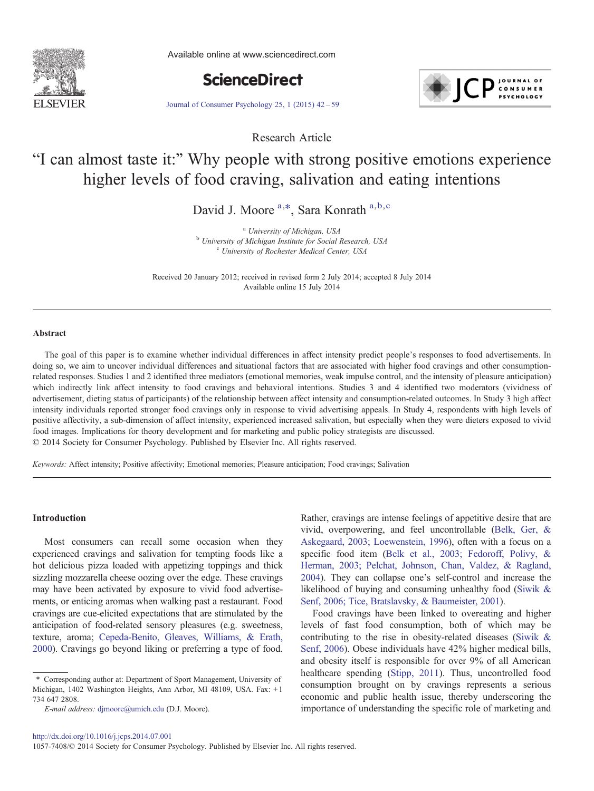

Available online at www.sciencedirect.com





[Journal of Consumer Psychology 25, 1 \(2015\) 42](http://dx.doi.org/10.1016/j.jcps.2014.07.001)–59

Research Article

# "I can almost taste it:" Why people with strong positive emotions experience higher levels of food craving, salivation and eating intentions

David J. Moore<sup>a,\*</sup>, Sara Konrath<sup>a,b,c</sup>

<sup>a</sup> University of Michigan, USA<br><sup>b</sup> University of Michigan Institute for Social Research, USA<br><sup>c</sup> University of Rochester Medical Center, USA

Received 20 January 2012; received in revised form 2 July 2014; accepted 8 July 2014 Available online 15 July 2014

## Abstract

The goal of this paper is to examine whether individual differences in affect intensity predict people's responses to food advertisements. In doing so, we aim to uncover individual differences and situational factors that are associated with higher food cravings and other consumptionrelated responses. Studies 1 and 2 identified three mediators (emotional memories, weak impulse control, and the intensity of pleasure anticipation) which indirectly link affect intensity to food cravings and behavioral intentions. Studies 3 and 4 identified two moderators (vividness of advertisement, dieting status of participants) of the relationship between affect intensity and consumption-related outcomes. In Study 3 high affect intensity individuals reported stronger food cravings only in response to vivid advertising appeals. In Study 4, respondents with high levels of positive affectivity, a sub-dimension of affect intensity, experienced increased salivation, but especially when they were dieters exposed to vivid food images. Implications for theory development and for marketing and public policy strategists are discussed. © 2014 Society for Consumer Psychology. Published by Elsevier Inc. All rights reserved.

Keywords: Affect intensity; Positive affectivity; Emotional memories; Pleasure anticipation; Food cravings; Salivation

## Introduction

Most consumers can recall some occasion when they experienced cravings and salivation for tempting foods like a hot delicious pizza loaded with appetizing toppings and thick sizzling mozzarella cheese oozing over the edge. These cravings may have been activated by exposure to vivid food advertisements, or enticing aromas when walking past a restaurant. Food cravings are cue-elicited expectations that are stimulated by the anticipation of food-related sensory pleasures (e.g. sweetness, texture, aroma; [Cepeda-Benito, Gleaves, Williams, & Erath,](#page-16-0) [2000](#page-16-0)). Cravings go beyond liking or preferring a type of food.

E-mail address: [djmoore@umich.edu](mailto:djmoore@umich.edu) (D.J. Moore).

Rather, cravings are intense feelings of appetitive desire that are vivid, overpowering, and feel uncontrollable [\(Belk, Ger, &](#page-16-0) [Askegaard, 2003; Loewenstein, 1996\)](#page-16-0), often with a focus on a specific food item [\(Belk et al., 2003; Fedoroff, Polivy, &](#page-16-0) [Herman, 2003; Pelchat, Johnson, Chan, Valdez, & Ragland,](#page-16-0) [2004](#page-16-0)). They can collapse one's self-control and increase the likelihood of buying and consuming unhealthy food ([Siwik &](#page-17-0) [Senf, 2006; Tice, Bratslavsky, & Baumeister, 2001](#page-17-0)).

Food cravings have been linked to overeating and higher levels of fast food consumption, both of which may be contributing to the rise in obesity-related diseases [\(Siwik &](#page-17-0) [Senf, 2006](#page-17-0)). Obese individuals have 42% higher medical bills, and obesity itself is responsible for over 9% of all American healthcare spending ([Stipp, 2011\)](#page-17-0). Thus, uncontrolled food consumption brought on by cravings represents a serious economic and public health issue, thereby underscoring the importance of understanding the specific role of marketing and

<sup>⁎</sup> Corresponding author at: Department of Sport Management, University of Michigan, 1402 Washington Heights, Ann Arbor, MI 48109, USA. Fax: + 1 734 647 2808.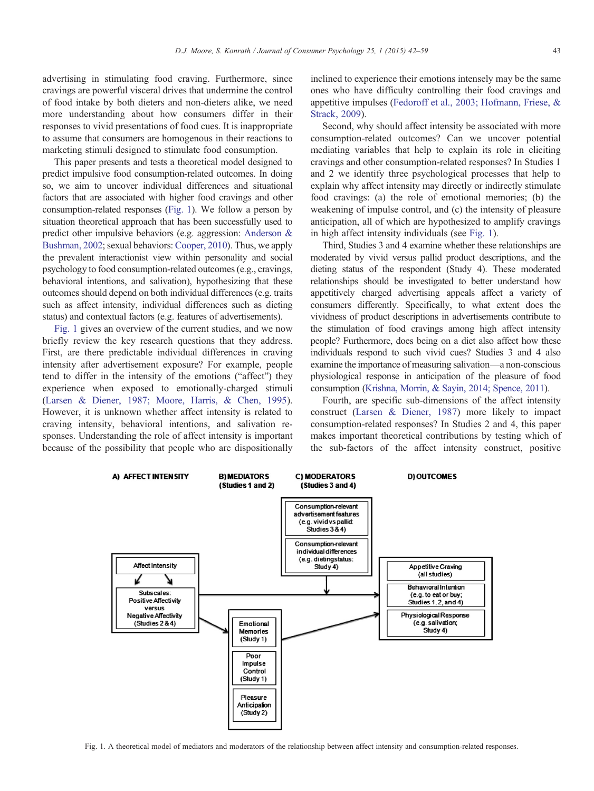<span id="page-1-0"></span>advertising in stimulating food craving. Furthermore, since cravings are powerful visceral drives that undermine the control of food intake by both dieters and non-dieters alike, we need more understanding about how consumers differ in their responses to vivid presentations of food cues. It is inappropriate to assume that consumers are homogenous in their reactions to marketing stimuli designed to stimulate food consumption.

This paper presents and tests a theoretical model designed to predict impulsive food consumption-related outcomes. In doing so, we aim to uncover individual differences and situational factors that are associated with higher food cravings and other consumption-related responses (Fig. 1). We follow a person by situation theoretical approach that has been successfully used to predict other impulsive behaviors (e.g. aggression: [Anderson &](#page-16-0) [Bushman, 2002;](#page-16-0) sexual behaviors: [Cooper, 2010\)](#page-16-0). Thus, we apply the prevalent interactionist view within personality and social psychology to food consumption-related outcomes (e.g., cravings, behavioral intentions, and salivation), hypothesizing that these outcomes should depend on both individual differences (e.g. traits such as affect intensity, individual differences such as dieting status) and contextual factors (e.g. features of advertisements).

Fig. 1 gives an overview of the current studies, and we now briefly review the key research questions that they address. First, are there predictable individual differences in craving intensity after advertisement exposure? For example, people tend to differ in the intensity of the emotions ("affect") they experience when exposed to emotionally-charged stimuli ([Larsen & Diener, 1987; Moore, Harris, & Chen, 1995\)](#page-17-0). However, it is unknown whether affect intensity is related to craving intensity, behavioral intentions, and salivation responses. Understanding the role of affect intensity is important because of the possibility that people who are dispositionally inclined to experience their emotions intensely may be the same ones who have difficulty controlling their food cravings and appetitive impulses ([Fedoroff et al., 2003; Hofmann, Friese, &](#page-16-0) [Strack, 2009](#page-16-0)).

Second, why should affect intensity be associated with more consumption-related outcomes? Can we uncover potential mediating variables that help to explain its role in eliciting cravings and other consumption-related responses? In Studies 1 and 2 we identify three psychological processes that help to explain why affect intensity may directly or indirectly stimulate food cravings: (a) the role of emotional memories; (b) the weakening of impulse control, and (c) the intensity of pleasure anticipation, all of which are hypothesized to amplify cravings in high affect intensity individuals (see Fig. 1).

Third, Studies 3 and 4 examine whether these relationships are moderated by vivid versus pallid product descriptions, and the dieting status of the respondent (Study 4). These moderated relationships should be investigated to better understand how appetitively charged advertising appeals affect a variety of consumers differently. Specifically, to what extent does the vividness of product descriptions in advertisements contribute to the stimulation of food cravings among high affect intensity people? Furthermore, does being on a diet also affect how these individuals respond to such vivid cues? Studies 3 and 4 also examine the importance of measuring salivation—a non-conscious physiological response in anticipation of the pleasure of food consumption [\(Krishna, Morrin, & Sayin, 2014; Spence, 2011](#page-17-0)).

Fourth, are specific sub-dimensions of the affect intensity construct ([Larsen & Diener, 1987](#page-17-0)) more likely to impact consumption-related responses? In Studies 2 and 4, this paper makes important theoretical contributions by testing which of the sub-factors of the affect intensity construct, positive



Fig. 1. A theoretical model of mediators and moderators of the relationship between affect intensity and consumption-related responses.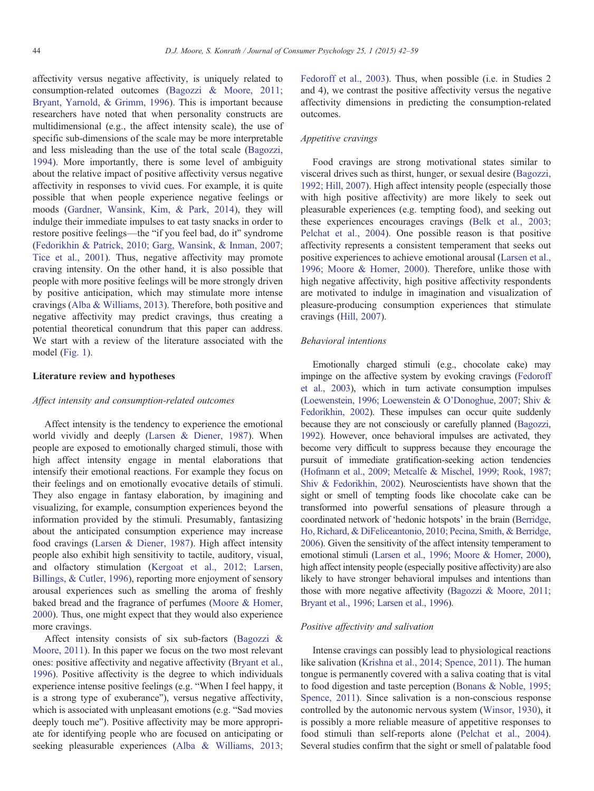affectivity versus negative affectivity, is uniquely related to consumption-related outcomes ([Bagozzi & Moore, 2011;](#page-16-0) [Bryant, Yarnold, & Grimm, 1996\)](#page-16-0). This is important because researchers have noted that when personality constructs are multidimensional (e.g., the affect intensity scale), the use of specific sub-dimensions of the scale may be more interpretable and less misleading than the use of the total scale ([Bagozzi,](#page-16-0) [1994\)](#page-16-0). More importantly, there is some level of ambiguity about the relative impact of positive affectivity versus negative affectivity in responses to vivid cues. For example, it is quite possible that when people experience negative feelings or moods ([Gardner, Wansink, Kim, & Park, 2014](#page-16-0)), they will indulge their immediate impulses to eat tasty snacks in order to restore positive feelings—the "if you feel bad, do it" syndrome ([Fedorikhin & Patrick, 2010; Garg, Wansink, & Inman, 2007;](#page-16-0) [Tice et al., 2001](#page-16-0)). Thus, negative affectivity may promote craving intensity. On the other hand, it is also possible that people with more positive feelings will be more strongly driven by positive anticipation, which may stimulate more intense cravings ([Alba & Williams, 2013](#page-16-0)). Therefore, both positive and negative affectivity may predict cravings, thus creating a potential theoretical conundrum that this paper can address. We start with a review of the literature associated with the model ([Fig. 1](#page-1-0)).

## Literature review and hypotheses

# Affect intensity and consumption-related outcomes

Affect intensity is the tendency to experience the emotional world vividly and deeply [\(Larsen & Diener, 1987\)](#page-17-0). When people are exposed to emotionally charged stimuli, those with high affect intensity engage in mental elaborations that intensify their emotional reactions. For example they focus on their feelings and on emotionally evocative details of stimuli. They also engage in fantasy elaboration, by imagining and visualizing, for example, consumption experiences beyond the information provided by the stimuli. Presumably, fantasizing about the anticipated consumption experience may increase food cravings [\(Larsen & Diener, 1987](#page-17-0)). High affect intensity people also exhibit high sensitivity to tactile, auditory, visual, and olfactory stimulation ([Kergoat et al., 2012; Larsen,](#page-17-0) [Billings, & Cutler, 1996\)](#page-17-0), reporting more enjoyment of sensory arousal experiences such as smelling the aroma of freshly baked bread and the fragrance of perfumes [\(Moore & Homer,](#page-17-0) [2000\)](#page-17-0). Thus, one might expect that they would also experience more cravings.

Affect intensity consists of six sub-factors ([Bagozzi &](#page-16-0) [Moore, 2011](#page-16-0)). In this paper we focus on the two most relevant ones: positive affectivity and negative affectivity [\(Bryant et al.,](#page-16-0) [1996\)](#page-16-0). Positive affectivity is the degree to which individuals experience intense positive feelings (e.g. "When I feel happy, it is a strong type of exuberance"), versus negative affectivity, which is associated with unpleasant emotions (e.g. "Sad movies deeply touch me"). Positive affectivity may be more appropriate for identifying people who are focused on anticipating or seeking pleasurable experiences ([Alba & Williams, 2013;](#page-16-0) [Fedoroff et al., 2003\)](#page-16-0). Thus, when possible (i.e. in Studies 2 and 4), we contrast the positive affectivity versus the negative affectivity dimensions in predicting the consumption-related outcomes.

## Appetitive cravings

Food cravings are strong motivational states similar to visceral drives such as thirst, hunger, or sexual desire ([Bagozzi,](#page-16-0) [1992; Hill, 2007\)](#page-16-0). High affect intensity people (especially those with high positive affectivity) are more likely to seek out pleasurable experiences (e.g. tempting food), and seeking out these experiences encourages cravings [\(Belk et al., 2003;](#page-16-0) [Pelchat et al., 2004](#page-16-0)). One possible reason is that positive affectivity represents a consistent temperament that seeks out positive experiences to achieve emotional arousal [\(Larsen et al.,](#page-17-0) [1996; Moore & Homer, 2000](#page-17-0)). Therefore, unlike those with high negative affectivity, high positive affectivity respondents are motivated to indulge in imagination and visualization of pleasure-producing consumption experiences that stimulate cravings [\(Hill, 2007](#page-16-0)).

# Behavioral intentions

Emotionally charged stimuli (e.g., chocolate cake) may impinge on the affective system by evoking cravings [\(Fedoroff](#page-16-0) [et al., 2003\)](#page-16-0), which in turn activate consumption impulses ([Loewenstein, 1996; Loewenstein & O'Donoghue, 2007; Shiv &](#page-17-0) [Fedorikhin, 2002](#page-17-0)). These impulses can occur quite suddenly because they are not consciously or carefully planned [\(Bagozzi,](#page-16-0) [1992\)](#page-16-0). However, once behavioral impulses are activated, they become very difficult to suppress because they encourage the pursuit of immediate gratification-seeking action tendencies ([Hofmann et al., 2009; Metcalfe & Mischel, 1999; Rook, 1987;](#page-16-0) [Shiv & Fedorikhin, 2002](#page-16-0)). Neuroscientists have shown that the sight or smell of tempting foods like chocolate cake can be transformed into powerful sensations of pleasure through a coordinated network of 'hedonic hotspots' in the brain [\(Berridge,](#page-16-0) [Ho, Richard, & DiFeliceantonio, 2010; Pecina, Smith, & Berridge,](#page-16-0) [2006\)](#page-16-0). Given the sensitivity of the affect intensity temperament to emotional stimuli [\(Larsen et al., 1996; Moore & Homer, 2000](#page-17-0)), high affect intensity people (especially positive affectivity) are also likely to have stronger behavioral impulses and intentions than those with more negative affectivity [\(Bagozzi & Moore, 2011;](#page-16-0) [Bryant et al., 1996; Larsen et al., 1996\)](#page-16-0).

# Positive affectivity and salivation

Intense cravings can possibly lead to physiological reactions like salivation [\(Krishna et al., 2014; Spence, 2011\)](#page-17-0). The human tongue is permanently covered with a saliva coating that is vital to food digestion and taste perception ([Bonans & Noble, 1995;](#page-16-0) [Spence, 2011](#page-16-0)). Since salivation is a non-conscious response controlled by the autonomic nervous system [\(Winsor, 1930\)](#page-17-0), it is possibly a more reliable measure of appetitive responses to food stimuli than self-reports alone ([Pelchat et al., 2004](#page-17-0)). Several studies confirm that the sight or smell of palatable food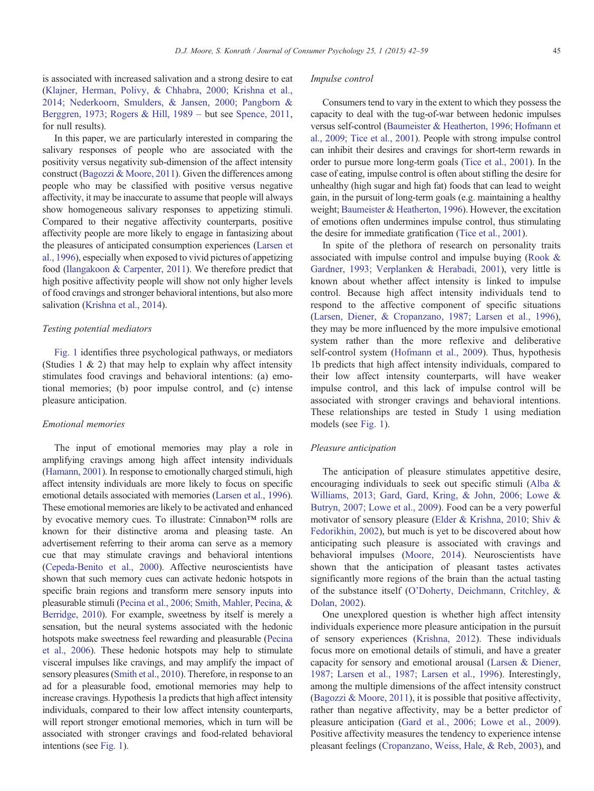# is associated with increased salivation and a strong desire to eat ([Klajner, Herman, Polivy, & Chhabra, 2000; Krishna et al.,](#page-17-0) [2014; Nederkoorn, Smulders, & Jansen, 2000; Pangborn &](#page-17-0) [Berggren, 1973; Rogers & Hill, 1989](#page-17-0) – but see [Spence, 2011](#page-17-0), for null results).

In this paper, we are particularly interested in comparing the salivary responses of people who are associated with the positivity versus negativity sub-dimension of the affect intensity construct ([Bagozzi & Moore, 2011\)](#page-16-0). Given the differences among people who may be classified with positive versus negative affectivity, it may be inaccurate to assume that people will always show homogeneous salivary responses to appetizing stimuli. Compared to their negative affectivity counterparts, positive affectivity people are more likely to engage in fantasizing about the pleasures of anticipated consumption experiences [\(Larsen et](#page-17-0) [al., 1996\)](#page-17-0), especially when exposed to vivid pictures of appetizing food ([Ilangakoon & Carpenter, 2011\)](#page-17-0). We therefore predict that high positive affectivity people will show not only higher levels of food cravings and stronger behavioral intentions, but also more salivation ([Krishna et al., 2014](#page-17-0)).

## Testing potential mediators

[Fig. 1](#page-1-0) identifies three psychological pathways, or mediators (Studies  $1 \& 2$ ) that may help to explain why affect intensity stimulates food cravings and behavioral intentions: (a) emotional memories; (b) poor impulse control, and (c) intense pleasure anticipation.

#### Emotional memories

The input of emotional memories may play a role in amplifying cravings among high affect intensity individuals ([Hamann, 2001](#page-16-0)). In response to emotionally charged stimuli, high affect intensity individuals are more likely to focus on specific emotional details associated with memories [\(Larsen et al., 1996\)](#page-17-0). These emotional memories are likely to be activated and enhanced by evocative memory cues. To illustrate: Cinnabon™ rolls are known for their distinctive aroma and pleasing taste. An advertisement referring to their aroma can serve as a memory cue that may stimulate cravings and behavioral intentions ([Cepeda-Benito et al., 2000](#page-16-0)). Affective neuroscientists have shown that such memory cues can activate hedonic hotspots in specific brain regions and transform mere sensory inputs into pleasurable stimuli [\(Pecina et al., 2006; Smith, Mahler, Pecina, &](#page-17-0) [Berridge, 2010](#page-17-0)). For example, sweetness by itself is merely a sensation, but the neural systems associated with the hedonic hotspots make sweetness feel rewarding and pleasurable [\(Pecina](#page-17-0) [et al., 2006\)](#page-17-0). These hedonic hotspots may help to stimulate visceral impulses like cravings, and may amplify the impact of sensory pleasures [\(Smith et al., 2010\)](#page-17-0). Therefore, in response to an ad for a pleasurable food, emotional memories may help to increase cravings. Hypothesis 1a predicts that high affect intensity individuals, compared to their low affect intensity counterparts, will report stronger emotional memories, which in turn will be associated with stronger cravings and food-related behavioral intentions (see [Fig. 1\)](#page-1-0).

#### Impulse control

Consumers tend to vary in the extent to which they possess the capacity to deal with the tug-of-war between hedonic impulses versus self-control [\(Baumeister & Heatherton, 1996; Hofmann et](#page-16-0) [al., 2009; Tice et al., 2001](#page-16-0)). People with strong impulse control can inhibit their desires and cravings for short-term rewards in order to pursue more long-term goals ([Tice et al., 2001\)](#page-17-0). In the case of eating, impulse control is often about stifling the desire for unhealthy (high sugar and high fat) foods that can lead to weight gain, in the pursuit of long-term goals (e.g. maintaining a healthy weight; [Baumeister & Heatherton, 1996\)](#page-16-0). However, the excitation of emotions often undermines impulse control, thus stimulating the desire for immediate gratification ([Tice et al., 2001\)](#page-17-0).

In spite of the plethora of research on personality traits associated with impulse control and impulse buying ([Rook &](#page-17-0) [Gardner, 1993; Verplanken & Herabadi, 2001](#page-17-0)), very little is known about whether affect intensity is linked to impulse control. Because high affect intensity individuals tend to respond to the affective component of specific situations ([Larsen, Diener, & Cropanzano, 1987; Larsen et al., 1996\)](#page-17-0), they may be more influenced by the more impulsive emotional system rather than the more reflexive and deliberative self-control system ([Hofmann et al., 2009](#page-16-0)). Thus, hypothesis 1b predicts that high affect intensity individuals, compared to their low affect intensity counterparts, will have weaker impulse control, and this lack of impulse control will be associated with stronger cravings and behavioral intentions. These relationships are tested in Study 1 using mediation models (see [Fig. 1\)](#page-1-0).

# Pleasure anticipation

The anticipation of pleasure stimulates appetitive desire, encouraging individuals to seek out specific stimuli ([Alba &](#page-16-0) [Williams, 2013; Gard, Gard, Kring, & John, 2006; Lowe &](#page-16-0) [Butryn, 2007; Lowe et al., 2009](#page-16-0)). Food can be a very powerful motivator of sensory pleasure [\(Elder & Krishna, 2010; Shiv &](#page-16-0) [Fedorikhin, 2002](#page-16-0)), but much is yet to be discovered about how anticipating such pleasure is associated with cravings and behavioral impulses [\(Moore, 2014\)](#page-17-0). Neuroscientists have shown that the anticipation of pleasant tastes activates significantly more regions of the brain than the actual tasting of the substance itself ([O'Doherty, Deichmann, Critchley, &](#page-17-0) [Dolan, 2002](#page-17-0)).

One unexplored question is whether high affect intensity individuals experience more pleasure anticipation in the pursuit of sensory experiences ([Krishna, 2012](#page-17-0)). These individuals focus more on emotional details of stimuli, and have a greater capacity for sensory and emotional arousal ([Larsen & Diener,](#page-17-0) [1987; Larsen et al., 1987; Larsen et al., 1996\)](#page-17-0). Interestingly, among the multiple dimensions of the affect intensity construct ([Bagozzi & Moore, 2011](#page-16-0)), it is possible that positive affectivity, rather than negative affectivity, may be a better predictor of pleasure anticipation ([Gard et al., 2006; Lowe et al., 2009\)](#page-16-0). Positive affectivity measures the tendency to experience intense pleasant feelings [\(Cropanzano, Weiss, Hale, & Reb, 2003\)](#page-16-0), and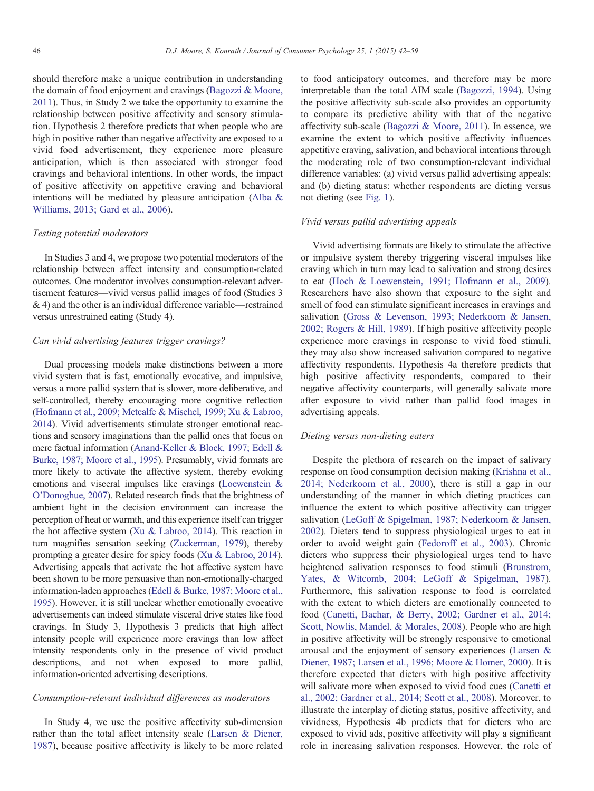should therefore make a unique contribution in understanding the domain of food enjoyment and cravings [\(Bagozzi & Moore,](#page-16-0) [2011\)](#page-16-0). Thus, in Study 2 we take the opportunity to examine the relationship between positive affectivity and sensory stimulation. Hypothesis 2 therefore predicts that when people who are high in positive rather than negative affectivity are exposed to a vivid food advertisement, they experience more pleasure anticipation, which is then associated with stronger food cravings and behavioral intentions. In other words, the impact of positive affectivity on appetitive craving and behavioral intentions will be mediated by pleasure anticipation ([Alba &](#page-16-0) [Williams, 2013; Gard et al., 2006\)](#page-16-0).

# Testing potential moderators

In Studies 3 and 4, we propose two potential moderators of the relationship between affect intensity and consumption-related outcomes. One moderator involves consumption-relevant advertisement features—vivid versus pallid images of food (Studies 3 & 4) and the other is an individual difference variable—restrained versus unrestrained eating (Study 4).

## Can vivid advertising features trigger cravings?

Dual processing models make distinctions between a more vivid system that is fast, emotionally evocative, and impulsive, versus a more pallid system that is slower, more deliberative, and self-controlled, thereby encouraging more cognitive reflection ([Hofmann et al., 2009; Metcalfe & Mischel, 1999; Xu & Labroo,](#page-16-0) [2014](#page-16-0)). Vivid advertisements stimulate stronger emotional reactions and sensory imaginations than the pallid ones that focus on mere factual information [\(Anand-Keller & Block, 1997; Edell &](#page-16-0) [Burke, 1987; Moore et al., 1995\)](#page-16-0). Presumably, vivid formats are more likely to activate the affective system, thereby evoking emotions and visceral impulses like cravings [\(Loewenstein &](#page-17-0) [O'Donoghue, 2007](#page-17-0)). Related research finds that the brightness of ambient light in the decision environment can increase the perception of heat or warmth, and this experience itself can trigger the hot affective system [\(Xu & Labroo, 2014\)](#page-17-0). This reaction in turn magnifies sensation seeking ([Zuckerman, 1979](#page-17-0)), thereby prompting a greater desire for spicy foods [\(Xu & Labroo, 2014](#page-17-0)). Advertising appeals that activate the hot affective system have been shown to be more persuasive than non-emotionally-charged information-laden approaches ([Edell & Burke, 1987; Moore et al.,](#page-16-0) [1995](#page-16-0)). However, it is still unclear whether emotionally evocative advertisements can indeed stimulate visceral drive states like food cravings. In Study 3, Hypothesis 3 predicts that high affect intensity people will experience more cravings than low affect intensity respondents only in the presence of vivid product descriptions, and not when exposed to more pallid, information-oriented advertising descriptions.

## Consumption-relevant individual differences as moderators

In Study 4, we use the positive affectivity sub-dimension rather than the total affect intensity scale [\(Larsen & Diener,](#page-17-0) [1987\)](#page-17-0), because positive affectivity is likely to be more related to food anticipatory outcomes, and therefore may be more interpretable than the total AIM scale [\(Bagozzi, 1994\)](#page-16-0). Using the positive affectivity sub-scale also provides an opportunity to compare its predictive ability with that of the negative affectivity sub-scale ([Bagozzi & Moore, 2011\)](#page-16-0). In essence, we examine the extent to which positive affectivity influences appetitive craving, salivation, and behavioral intentions through the moderating role of two consumption-relevant individual difference variables: (a) vivid versus pallid advertising appeals; and (b) dieting status: whether respondents are dieting versus not dieting (see [Fig. 1](#page-1-0)).

# Vivid versus pallid advertising appeals

Vivid advertising formats are likely to stimulate the affective or impulsive system thereby triggering visceral impulses like craving which in turn may lead to salivation and strong desires to eat [\(Hoch & Loewenstein, 1991; Hofmann et al., 2009](#page-16-0)). Researchers have also shown that exposure to the sight and smell of food can stimulate significant increases in cravings and salivation ([Gross & Levenson, 1993; Nederkoorn & Jansen,](#page-16-0) [2002; Rogers & Hill, 1989\)](#page-16-0). If high positive affectivity people experience more cravings in response to vivid food stimuli, they may also show increased salivation compared to negative affectivity respondents. Hypothesis 4a therefore predicts that high positive affectivity respondents, compared to their negative affectivity counterparts, will generally salivate more after exposure to vivid rather than pallid food images in advertising appeals.

## Dieting versus non-dieting eaters

Despite the plethora of research on the impact of salivary response on food consumption decision making [\(Krishna et al.,](#page-17-0) [2014; Nederkoorn et al., 2000](#page-17-0)), there is still a gap in our understanding of the manner in which dieting practices can influence the extent to which positive affectivity can trigger salivation [\(LeGoff & Spigelman, 1987; Nederkoorn & Jansen,](#page-17-0) [2002\)](#page-17-0). Dieters tend to suppress physiological urges to eat in order to avoid weight gain ([Fedoroff et al., 2003](#page-16-0)). Chronic dieters who suppress their physiological urges tend to have heightened salivation responses to food stimuli ([Brunstrom,](#page-16-0) [Yates, & Witcomb, 2004; LeGoff & Spigelman, 1987](#page-16-0)). Furthermore, this salivation response to food is correlated with the extent to which dieters are emotionally connected to food [\(Canetti, Bachar, & Berry, 2002; Gardner et al., 2014;](#page-16-0) [Scott, Nowlis, Mandel, & Morales, 2008](#page-16-0)). People who are high in positive affectivity will be strongly responsive to emotional arousal and the enjoyment of sensory experiences [\(Larsen &](#page-17-0) [Diener, 1987; Larsen et al., 1996; Moore & Homer, 2000](#page-17-0)). It is therefore expected that dieters with high positive affectivity will salivate more when exposed to vivid food cues [\(Canetti et](#page-16-0) [al., 2002; Gardner et al., 2014; Scott et al., 2008\)](#page-16-0). Moreover, to illustrate the interplay of dieting status, positive affectivity, and vividness, Hypothesis 4b predicts that for dieters who are exposed to vivid ads, positive affectivity will play a significant role in increasing salivation responses. However, the role of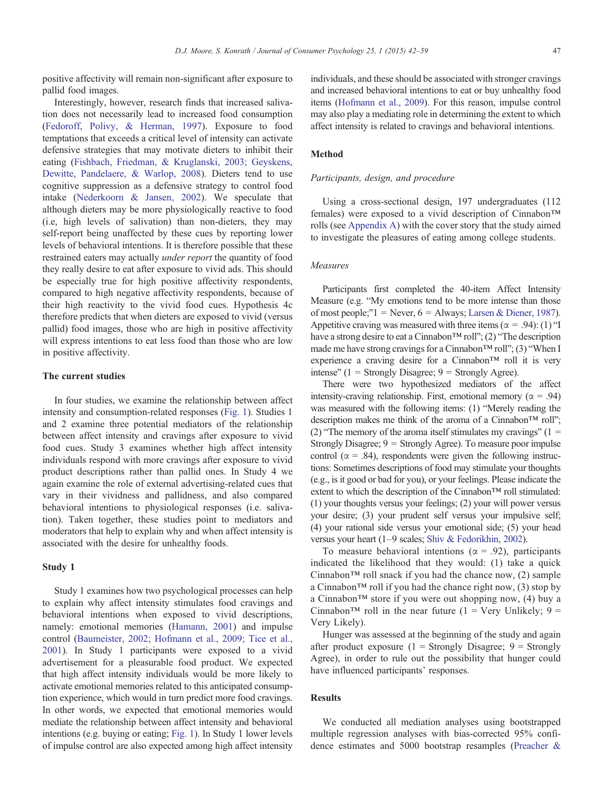positive affectivity will remain non-significant after exposure to pallid food images.

Interestingly, however, research finds that increased salivation does not necessarily lead to increased food consumption ([Fedoroff, Polivy, & Herman, 1997\)](#page-16-0). Exposure to food temptations that exceeds a critical level of intensity can activate defensive strategies that may motivate dieters to inhibit their eating [\(Fishbach, Friedman, & Kruglanski, 2003; Geyskens,](#page-16-0) [Dewitte, Pandelaere, & Warlop, 2008\)](#page-16-0). Dieters tend to use cognitive suppression as a defensive strategy to control food intake ([Nederkoorn & Jansen, 2002\)](#page-17-0). We speculate that although dieters may be more physiologically reactive to food (i.e, high levels of salivation) than non-dieters, they may self-report being unaffected by these cues by reporting lower levels of behavioral intentions. It is therefore possible that these restrained eaters may actually under report the quantity of food they really desire to eat after exposure to vivid ads. This should be especially true for high positive affectivity respondents, compared to high negative affectivity respondents, because of their high reactivity to the vivid food cues. Hypothesis 4c therefore predicts that when dieters are exposed to vivid (versus pallid) food images, those who are high in positive affectivity will express intentions to eat less food than those who are low in positive affectivity.

## The current studies

In four studies, we examine the relationship between affect intensity and consumption-related responses ([Fig. 1](#page-1-0)). Studies 1 and 2 examine three potential mediators of the relationship between affect intensity and cravings after exposure to vivid food cues. Study 3 examines whether high affect intensity individuals respond with more cravings after exposure to vivid product descriptions rather than pallid ones. In Study 4 we again examine the role of external advertising-related cues that vary in their vividness and pallidness, and also compared behavioral intentions to physiological responses (i.e. salivation). Taken together, these studies point to mediators and moderators that help to explain why and when affect intensity is associated with the desire for unhealthy foods.

# Study 1

Study 1 examines how two psychological processes can help to explain why affect intensity stimulates food cravings and behavioral intentions when exposed to vivid descriptions, namely: emotional memories [\(Hamann, 2001\)](#page-16-0) and impulse control [\(Baumeister, 2002; Hofmann et al., 2009; Tice et al.,](#page-16-0) [2001](#page-16-0)). In Study 1 participants were exposed to a vivid advertisement for a pleasurable food product. We expected that high affect intensity individuals would be more likely to activate emotional memories related to this anticipated consumption experience, which would in turn predict more food cravings. In other words, we expected that emotional memories would mediate the relationship between affect intensity and behavioral intentions (e.g. buying or eating; [Fig. 1\)](#page-1-0). In Study 1 lower levels of impulse control are also expected among high affect intensity

individuals, and these should be associated with stronger cravings and increased behavioral intentions to eat or buy unhealthy food items [\(Hofmann et al., 2009](#page-16-0)). For this reason, impulse control may also play a mediating role in determining the extent to which affect intensity is related to cravings and behavioral intentions.

# Method

## Participants, design, and procedure

Using a cross-sectional design, 197 undergraduates (112 females) were exposed to a vivid description of Cinnabon™ rolls (see [Appendix A\)](#page-15-0) with the cover story that the study aimed to investigate the pleasures of eating among college students.

# Measures

Participants first completed the 40-item Affect Intensity Measure (e.g. "My emotions tend to be more intense than those of most people;" $1 =$  Never,  $6 =$  Always; [Larsen & Diener, 1987](#page-17-0)). Appetitive craving was measured with three items ( $\alpha = .94$ ): (1) "I have a strong desire to eat a Cinnabon™ roll"; (2) "The description made me have strong cravings for a Cinnabon™ roll"; (3) "When I experience a craving desire for a Cinnabon™ roll it is very intense" (1 = Strongly Disagree;  $9$  = Strongly Agree).

There were two hypothesized mediators of the affect intensity-craving relationship. First, emotional memory ( $\alpha = .94$ ) was measured with the following items: (1) "Merely reading the description makes me think of the aroma of a Cinnabon™ roll"; (2) "The memory of the aroma itself stimulates my cravings"  $(1 =$ Strongly Disagree;  $9 =$  Strongly Agree). To measure poor impulse control ( $\alpha = .84$ ), respondents were given the following instructions: Sometimes descriptions of food may stimulate your thoughts (e.g., is it good or bad for you), or your feelings. Please indicate the extent to which the description of the Cinnabon™ roll stimulated: (1) your thoughts versus your feelings; (2) your will power versus your desire; (3) your prudent self versus your impulsive self; (4) your rational side versus your emotional side; (5) your head versus your heart (1–9 scales; [Shiv & Fedorikhin, 2002](#page-17-0)).

To measure behavioral intentions ( $\alpha$  = .92), participants indicated the likelihood that they would: (1) take a quick Cinnabon<sup>™</sup> roll snack if you had the chance now,  $(2)$  sample a Cinnabon<sup>™</sup> roll if you had the chance right now, (3) stop by a Cinnabon™ store if you were out shopping now, (4) buy a Cinnabon<sup>™</sup> roll in the near future (1 = Very Unlikely; 9 = Very Likely).

Hunger was assessed at the beginning of the study and again after product exposure  $(1 =$  Strongly Disagree;  $9 =$  Strongly Agree), in order to rule out the possibility that hunger could have influenced participants' responses.

# Results

We conducted all mediation analyses using bootstrapped multiple regression analyses with bias-corrected 95% confidence estimates and 5000 bootstrap resamples [\(Preacher &](#page-17-0)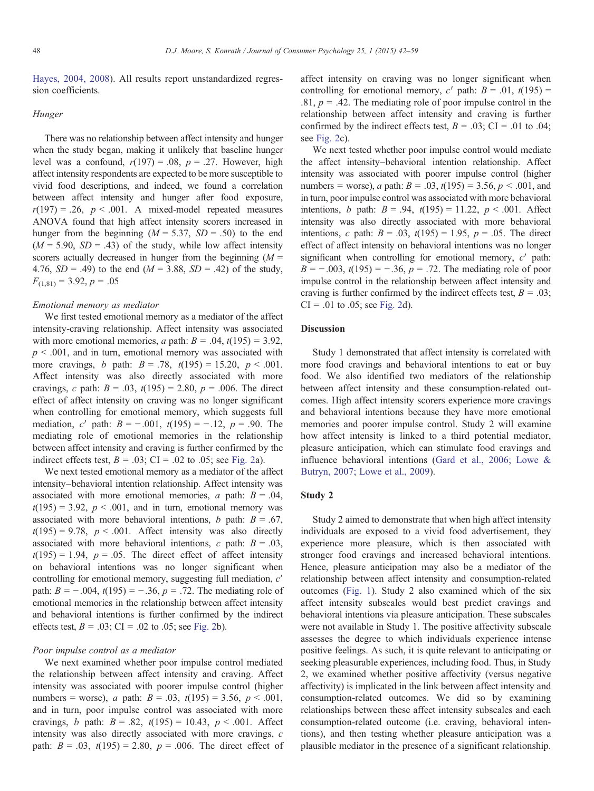[Hayes, 2004, 2008](#page-17-0)). All results report unstandardized regression coefficients.

## Hunger

There was no relationship between affect intensity and hunger when the study began, making it unlikely that baseline hunger level was a confound,  $r(197) = .08$ ,  $p = .27$ . However, high affect intensity respondents are expected to be more susceptible to vivid food descriptions, and indeed, we found a correlation between affect intensity and hunger after food exposure,  $r(197) = .26$ ,  $p < .001$ . A mixed-model repeated measures ANOVA found that high affect intensity scorers increased in hunger from the beginning ( $M = 5.37$ ,  $SD = .50$ ) to the end  $(M = 5.90, SD = .43)$  of the study, while low affect intensity scorers actually decreased in hunger from the beginning  $(M =$ 4.76,  $SD = .49$ ) to the end  $(M = 3.88, SD = .42)$  of the study,  $F_{(1,81)} = 3.92, p = .05$ 

#### Emotional memory as mediator

We first tested emotional memory as a mediator of the affect intensity-craving relationship. Affect intensity was associated with more emotional memories, a path:  $B = .04$ ,  $t(195) = 3.92$ ,  $p < .001$ , and in turn, emotional memory was associated with more cravings, *b* path:  $B = .78$ ,  $t(195) = 15.20$ ,  $p < .001$ . Affect intensity was also directly associated with more cravings, c path:  $B = .03$ ,  $t(195) = 2.80$ ,  $p = .006$ . The direct effect of affect intensity on craving was no longer significant when controlling for emotional memory, which suggests full mediation, c' path:  $B = -.001$ ,  $t(195) = -.12$ ,  $p = .90$ . The mediating role of emotional memories in the relationship between affect intensity and craving is further confirmed by the indirect effects test,  $B = .03$ ; CI = .02 to .05; see [Fig. 2](#page-7-0)a).

We next tested emotional memory as a mediator of the affect intensity–behavioral intention relationship. Affect intensity was associated with more emotional memories,  $a$  path:  $B = .04$ ,  $t(195) = 3.92$ ,  $p < .001$ , and in turn, emotional memory was associated with more behavioral intentions, b path:  $B = .67$ ,  $t(195) = 9.78$ ,  $p < .001$ . Affect intensity was also directly associated with more behavioral intentions, c path:  $B = .03$ ,  $t(195) = 1.94$ ,  $p = .05$ . The direct effect of affect intensity on behavioral intentions was no longer significant when controlling for emotional memory, suggesting full mediation,  $c'$ path:  $B = -.004$ ,  $t(195) = -.36$ ,  $p = .72$ . The mediating role of emotional memories in the relationship between affect intensity and behavioral intentions is further confirmed by the indirect effects test,  $B = .03$ ; CI = .02 to .05; see [Fig. 2](#page-7-0)b).

## Poor impulse control as a mediator

We next examined whether poor impulse control mediated the relationship between affect intensity and craving. Affect intensity was associated with poorer impulse control (higher numbers = worse), a path:  $B = .03$ ,  $t(195) = 3.56$ ,  $p < .001$ , and in turn, poor impulse control was associated with more cravings, *b* path:  $B = .82$ ,  $t(195) = 10.43$ ,  $p < .001$ . Affect intensity was also directly associated with more cravings, c path:  $B = .03$ ,  $t(195) = 2.80$ ,  $p = .006$ . The direct effect of affect intensity on craving was no longer significant when controlling for emotional memory, c' path:  $B = .01$ ,  $t(195) =$ .81,  $p = .42$ . The mediating role of poor impulse control in the relationship between affect intensity and craving is further confirmed by the indirect effects test,  $B = .03$ ; CI = .01 to .04; see [Fig. 2c](#page-7-0)).

We next tested whether poor impulse control would mediate the affect intensity–behavioral intention relationship. Affect intensity was associated with poorer impulse control (higher numbers = worse), a path:  $B = .03$ ,  $t(195) = 3.56$ ,  $p < .001$ , and in turn, poor impulse control was associated with more behavioral intentions, *b* path:  $B = .94$ ,  $t(195) = 11.22$ ,  $p < .001$ . Affect intensity was also directly associated with more behavioral intentions, c path:  $B = .03$ ,  $t(195) = 1.95$ ,  $p = .05$ . The direct effect of affect intensity on behavioral intentions was no longer significant when controlling for emotional memory,  $c'$  path:  $B = -.003$ ,  $t(195) = -.36$ ,  $p = .72$ . The mediating role of poor impulse control in the relationship between affect intensity and craving is further confirmed by the indirect effects test,  $B = .03$ ;  $CI = .01$  to  $.05$ ; see [Fig. 2d](#page-7-0)).

## **Discussion**

Study 1 demonstrated that affect intensity is correlated with more food cravings and behavioral intentions to eat or buy food. We also identified two mediators of the relationship between affect intensity and these consumption-related outcomes. High affect intensity scorers experience more cravings and behavioral intentions because they have more emotional memories and poorer impulse control. Study 2 will examine how affect intensity is linked to a third potential mediator, pleasure anticipation, which can stimulate food cravings and influence behavioral intentions ([Gard et al., 2006; Lowe &](#page-16-0) [Butryn, 2007; Lowe et al., 2009](#page-16-0)).

# Study 2

Study 2 aimed to demonstrate that when high affect intensity individuals are exposed to a vivid food advertisement, they experience more pleasure, which is then associated with stronger food cravings and increased behavioral intentions. Hence, pleasure anticipation may also be a mediator of the relationship between affect intensity and consumption-related outcomes [\(Fig. 1\)](#page-1-0). Study 2 also examined which of the six affect intensity subscales would best predict cravings and behavioral intentions via pleasure anticipation. These subscales were not available in Study 1. The positive affectivity subscale assesses the degree to which individuals experience intense positive feelings. As such, it is quite relevant to anticipating or seeking pleasurable experiences, including food. Thus, in Study 2, we examined whether positive affectivity (versus negative affectivity) is implicated in the link between affect intensity and consumption-related outcomes. We did so by examining relationships between these affect intensity subscales and each consumption-related outcome (i.e. craving, behavioral intentions), and then testing whether pleasure anticipation was a plausible mediator in the presence of a significant relationship.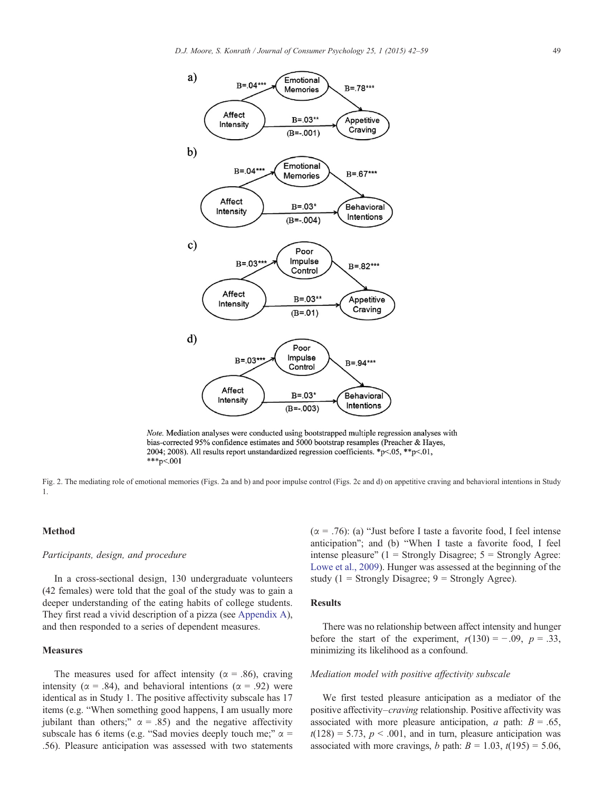<span id="page-7-0"></span>

Note. Mediation analyses were conducted using bootstrapped multiple regression analyses with bias-corrected 95% confidence estimates and 5000 bootstrap resamples (Preacher & Hayes, 2004; 2008). All results report unstandardized regression coefficients. \*p<.05, \*\*p<.01,  $***p<.001$ 

Fig. 2. The mediating role of emotional memories (Figs. 2a and b) and poor impulse control (Figs. 2c and d) on appetitive craving and behavioral intentions in Study 1.

# Method

#### Participants, design, and procedure

In a cross-sectional design, 130 undergraduate volunteers (42 females) were told that the goal of the study was to gain a deeper understanding of the eating habits of college students. They first read a vivid description of a pizza (see [Appendix A\)](#page-15-0), and then responded to a series of dependent measures.

## Measures

The measures used for affect intensity ( $\alpha = .86$ ), craving intensity ( $\alpha = .84$ ), and behavioral intentions ( $\alpha = .92$ ) were identical as in Study 1. The positive affectivity subscale has 17 items (e.g. "When something good happens, I am usually more jubilant than others;"  $\alpha = .85$ ) and the negative affectivity subscale has 6 items (e.g. "Sad movies deeply touch me;"  $\alpha$  = .56). Pleasure anticipation was assessed with two statements  $(\alpha = .76)$ : (a) "Just before I taste a favorite food, I feel intense anticipation"; and (b) "When I taste a favorite food, I feel intense pleasure" (1 = Strongly Disagree;  $5$  = Strongly Agree: [Lowe et al., 2009](#page-17-0)). Hunger was assessed at the beginning of the study (1 = Strongly Disagree;  $9$  = Strongly Agree).

#### **Results**

There was no relationship between affect intensity and hunger before the start of the experiment,  $r(130) = -.09$ ,  $p = .33$ , minimizing its likelihood as a confound.

#### Mediation model with positive affectivity subscale

We first tested pleasure anticipation as a mediator of the positive affectivity–craving relationship. Positive affectivity was associated with more pleasure anticipation,  $a$  path:  $B = .65$ ,  $t(128) = 5.73$ ,  $p < .001$ , and in turn, pleasure anticipation was associated with more cravings, b path:  $B = 1.03$ ,  $t(195) = 5.06$ ,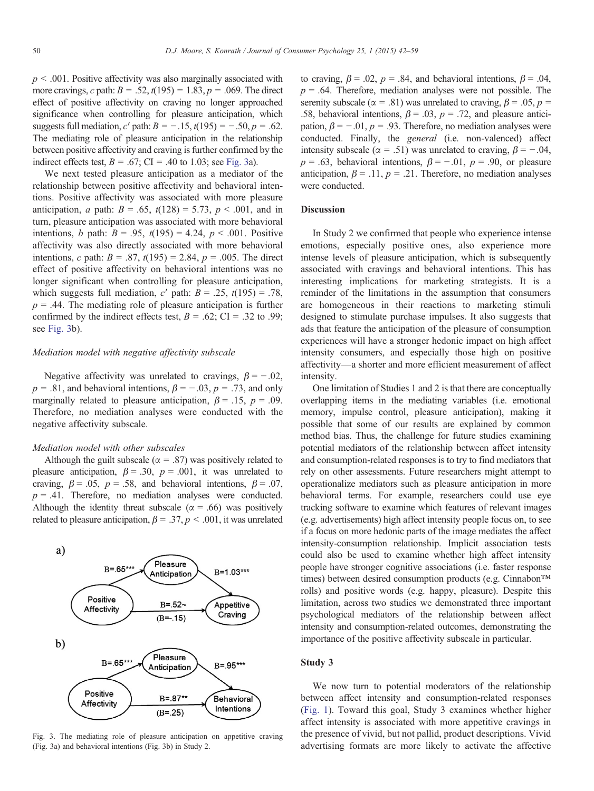$p \leq 0.001$ . Positive affectivity was also marginally associated with more cravings, c path:  $B = .52$ ,  $t(195) = 1.83$ ,  $p = .069$ . The direct effect of positive affectivity on craving no longer approached significance when controlling for pleasure anticipation, which suggests full mediation, c' path:  $B = -.15$ ,  $t(195) = -.50$ ,  $p = .62$ . The mediating role of pleasure anticipation in the relationship between positive affectivity and craving is further confirmed by the indirect effects test,  $B = .67$ ; CI = .40 to 1.03; see Fig. 3a).

We next tested pleasure anticipation as a mediator of the relationship between positive affectivity and behavioral intentions. Positive affectivity was associated with more pleasure anticipation, *a* path:  $B = .65$ ,  $t(128) = 5.73$ ,  $p < .001$ , and in turn, pleasure anticipation was associated with more behavioral intentions, *b* path:  $B = .95$ ,  $t(195) = 4.24$ ,  $p < .001$ . Positive affectivity was also directly associated with more behavioral intentions, *c* path:  $B = .87$ ,  $t(195) = 2.84$ ,  $p = .005$ . The direct effect of positive affectivity on behavioral intentions was no longer significant when controlling for pleasure anticipation, which suggests full mediation, c' path:  $B = .25$ ,  $t(195) = .78$ ,  $p = .44$ . The mediating role of pleasure anticipation is further confirmed by the indirect effects test,  $B = .62$ ; CI = .32 to .99; see Fig. 3b).

## Mediation model with negative affectivity subscale

Negative affectivity was unrelated to cravings,  $\beta = -.02$ ,  $p = .81$ , and behavioral intentions,  $\beta = -.03$ ,  $p = .73$ , and only marginally related to pleasure anticipation,  $\beta = .15$ ,  $p = .09$ . Therefore, no mediation analyses were conducted with the negative affectivity subscale.

## Mediation model with other subscales

Although the guilt subscale ( $\alpha = .87$ ) was positively related to pleasure anticipation,  $\beta = .30$ ,  $p = .001$ , it was unrelated to craving,  $\beta = .05$ ,  $p = .58$ , and behavioral intentions,  $\beta = .07$ ,  $p = .41$ . Therefore, no mediation analyses were conducted. Although the identity threat subscale ( $\alpha$  = .66) was positively related to pleasure anticipation,  $\beta = 0.37$ ,  $p < 0.001$ , it was unrelated



Fig. 3. The mediating role of pleasure anticipation on appetitive craving (Fig. 3a) and behavioral intentions (Fig. 3b) in Study 2.

to craving,  $\beta = .02$ ,  $p = .84$ , and behavioral intentions,  $\beta = .04$ ,  $p = .64$ . Therefore, mediation analyses were not possible. The serenity subscale ( $\alpha = .81$ ) was unrelated to craving,  $\beta = .05$ ,  $p =$ .58, behavioral intentions,  $\beta = .03$ ,  $p = .72$ , and pleasure anticipation,  $\beta = -0.01$ ,  $p = 0.93$ . Therefore, no mediation analyses were conducted. Finally, the general (i.e. non-valenced) affect intensity subscale ( $\alpha = .51$ ) was unrelated to craving,  $\beta = -.04$ ,  $p = .63$ , behavioral intentions,  $\beta = -.01$ ,  $p = .90$ , or pleasure anticipation,  $\beta = .11$ ,  $p = .21$ . Therefore, no mediation analyses were conducted.

## **Discussion**

In Study 2 we confirmed that people who experience intense emotions, especially positive ones, also experience more intense levels of pleasure anticipation, which is subsequently associated with cravings and behavioral intentions. This has interesting implications for marketing strategists. It is a reminder of the limitations in the assumption that consumers are homogeneous in their reactions to marketing stimuli designed to stimulate purchase impulses. It also suggests that ads that feature the anticipation of the pleasure of consumption experiences will have a stronger hedonic impact on high affect intensity consumers, and especially those high on positive affectivity—a shorter and more efficient measurement of affect intensity.

One limitation of Studies 1 and 2 is that there are conceptually overlapping items in the mediating variables (i.e. emotional memory, impulse control, pleasure anticipation), making it possible that some of our results are explained by common method bias. Thus, the challenge for future studies examining potential mediators of the relationship between affect intensity and consumption-related responses is to try to find mediators that rely on other assessments. Future researchers might attempt to operationalize mediators such as pleasure anticipation in more behavioral terms. For example, researchers could use eye tracking software to examine which features of relevant images (e.g. advertisements) high affect intensity people focus on, to see if a focus on more hedonic parts of the image mediates the affect intensity-consumption relationship. Implicit association tests could also be used to examine whether high affect intensity people have stronger cognitive associations (i.e. faster response times) between desired consumption products (e.g. Cinnabon™ rolls) and positive words (e.g. happy, pleasure). Despite this limitation, across two studies we demonstrated three important psychological mediators of the relationship between affect intensity and consumption-related outcomes, demonstrating the importance of the positive affectivity subscale in particular.

# Study 3

We now turn to potential moderators of the relationship between affect intensity and consumption-related responses ([Fig. 1](#page-1-0)). Toward this goal, Study 3 examines whether higher affect intensity is associated with more appetitive cravings in the presence of vivid, but not pallid, product descriptions. Vivid advertising formats are more likely to activate the affective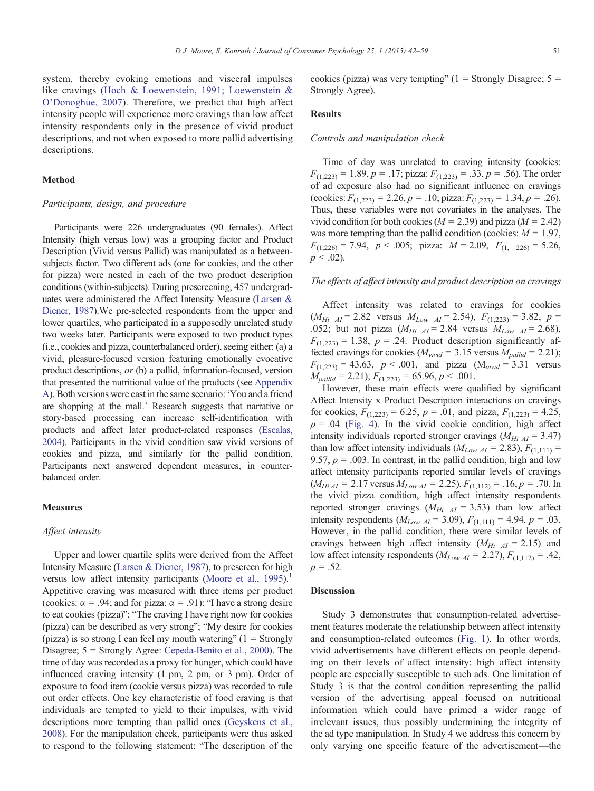system, thereby evoking emotions and visceral impulses like cravings [\(Hoch & Loewenstein, 1991; Loewenstein &](#page-16-0) [O'Donoghue, 2007\)](#page-16-0). Therefore, we predict that high affect intensity people will experience more cravings than low affect intensity respondents only in the presence of vivid product descriptions, and not when exposed to more pallid advertising descriptions.

# Method

# Participants, design, and procedure

Participants were 226 undergraduates (90 females). Affect Intensity (high versus low) was a grouping factor and Product Description (Vivid versus Pallid) was manipulated as a betweensubjects factor. Two different ads (one for cookies, and the other for pizza) were nested in each of the two product description conditions (within-subjects). During prescreening, 457 undergraduates were administered the Affect Intensity Measure ([Larsen &](#page-17-0) [Diener, 1987\)](#page-17-0).We pre-selected respondents from the upper and lower quartiles, who participated in a supposedly unrelated study two weeks later. Participants were exposed to two product types (i.e., cookies and pizza, counterbalanced order), seeing either: (a) a vivid, pleasure-focused version featuring emotionally evocative product descriptions, or (b) a pallid, information-focused, version that presented the nutritional value of the products (see [Appendix](#page-15-0) [A\)](#page-15-0). Both versions were cast in the same scenario: 'You and a friend are shopping at the mall.' Research suggests that narrative or story-based processing can increase self-identification with products and affect later product-related responses ([Escalas,](#page-16-0) [2004\)](#page-16-0). Participants in the vivid condition saw vivid versions of cookies and pizza, and similarly for the pallid condition. Participants next answered dependent measures, in counterbalanced order.

#### Measures

## Affect intensity

Upper and lower quartile splits were derived from the Affect Intensity Measure [\(Larsen & Diener, 1987\)](#page-17-0), to prescreen for high versus low affect intensity participants ([Moore et al., 1995\)](#page-17-0).<sup>1</sup> Appetitive craving was measured with three items per product (cookies:  $\alpha$  = .94; and for pizza:  $\alpha$  = .91): "I have a strong desire to eat cookies (pizza)"; "The craving I have right now for cookies (pizza) can be described as very strong"; "My desire for cookies (pizza) is so strong I can feel my mouth watering"  $(1 -$  Strongly Disagree; 5 = Strongly Agree: [Cepeda-Benito et al., 2000\)](#page-16-0). The time of day was recorded as a proxy for hunger, which could have influenced craving intensity (1 pm, 2 pm, or 3 pm). Order of exposure to food item (cookie versus pizza) was recorded to rule out order effects. One key characteristic of food craving is that individuals are tempted to yield to their impulses, with vivid descriptions more tempting than pallid ones ([Geyskens et al.,](#page-16-0) [2008](#page-16-0)). For the manipulation check, participants were thus asked to respond to the following statement: "The description of the cookies (pizza) was very tempting" (1 = Strongly Disagree;  $5 =$ Strongly Agree).

## Results

#### Controls and manipulation check

Time of day was unrelated to craving intensity (cookies:  $F_{(1,223)} = 1.89, p = .17$ ; pizza:  $F_{(1,223)} = .33, p = .56$ ). The order of ad exposure also had no significant influence on cravings (cookies:  $F_{(1,223)} = 2.26$ ,  $p = .10$ ; pizza:  $F_{(1,223)} = 1.34$ ,  $p = .26$ ). Thus, these variables were not covariates in the analyses. The vivid condition for both cookies ( $M = 2.39$ ) and pizza ( $M = 2.42$ ) was more tempting than the pallid condition (cookies:  $M = 1.97$ ,  $F_{(1,226)} = 7.94$ ,  $p < .005$ ; pizza:  $M = 2.09$ ,  $F_{(1, 226)} = 5.26$ ,  $p < .02$ ).

#### The effects of affect intensity and product description on cravings

Affect intensity was related to cravings for cookies  $(M_{Hi \ A I} = 2.82 \ \text{versus} \ M_{Low \ A I} = 2.54), \ F_{(1,223)} = 3.82, \ p =$ .052; but not pizza  $(M_{Hi \ A I} = 2.84$  versus  $M_{Low \ A I} = 2.68$ ),  $F_{(1,223)} = 1.38$ ,  $p = .24$ . Product description significantly affected cravings for cookies ( $M_{vivid} = 3.15$  versus  $M_{pallid} = 2.21$ );  $F_{(1,223)} = 43.63$ ,  $p < .001$ , and pizza (M<sub>vivid</sub> = 3.31 versus  $M_{\text{pallid}} = 2.21$ );  $F_{(1,223)} = 65.96, p < .001$ .

However, these main effects were qualified by significant Affect Intensity x Product Description interactions on cravings for cookies,  $F_{(1,223)} = 6.25$ ,  $p = .01$ , and pizza,  $F_{(1,223)} = 4.25$ ,  $p = .04$  [\(Fig. 4](#page-10-0)). In the vivid cookie condition, high affect intensity individuals reported stronger cravings  $(M_{Hi\ A I} = 3.47)$ than low affect intensity individuals ( $M_{Low\ AI} = 2.83$ ),  $F_{(1,111)} =$ 9.57,  $p = .003$ . In contrast, in the pallid condition, high and low affect intensity participants reported similar levels of cravings  $(M_{Hi\ A I} = 2.17$  versus  $M_{Low\ A I} = 2.25$ ),  $F_{(1,112)} = .16$ ,  $p = .70$ . In the vivid pizza condition, high affect intensity respondents reported stronger cravings  $(M_{Hi \ A I} = 3.53)$  than low affect intensity respondents ( $M_{Low\ Al} = 3.09$ ),  $F_{(1,111)} = 4.94$ ,  $p = .03$ . However, in the pallid condition, there were similar levels of cravings between high affect intensity ( $M_{Hi \ A} = 2.15$ ) and low affect intensity respondents  $(M_{Low\ A} = 2.27), F_{(1,112)} = .42,$  $p = .52$ .

## Discussion

Study 3 demonstrates that consumption-related advertisement features moderate the relationship between affect intensity and consumption-related outcomes [\(Fig. 1\)](#page-1-0). In other words, vivid advertisements have different effects on people depending on their levels of affect intensity: high affect intensity people are especially susceptible to such ads. One limitation of Study 3 is that the control condition representing the pallid version of the advertising appeal focused on nutritional information which could have primed a wider range of irrelevant issues, thus possibly undermining the integrity of the ad type manipulation. In Study 4 we address this concern by only varying one specific feature of the advertisement—the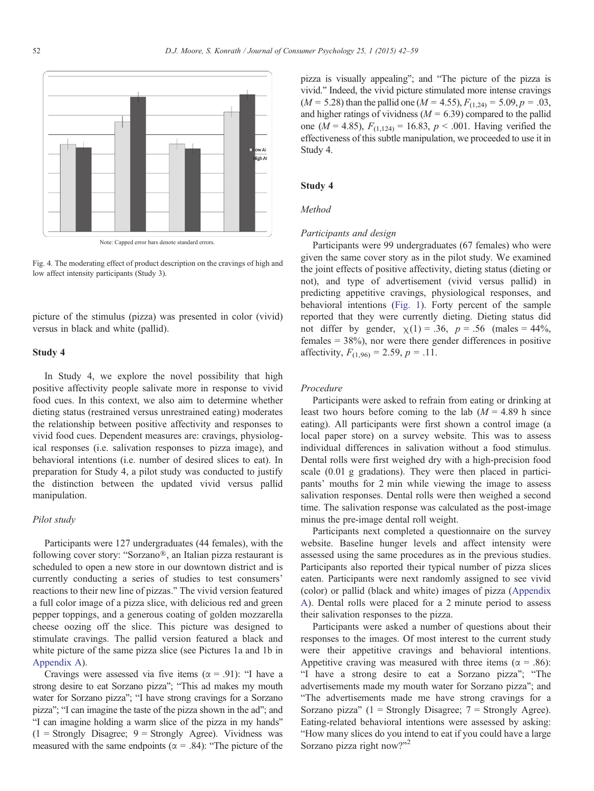<span id="page-10-0"></span>

[Note: Capped error bars denote standard errors.](image of Fig.�4)

Fig. 4. The moderating effect of product description on the cravings of high and low affect intensity participants (Study 3).

picture of the stimulus (pizza) was presented in color (vivid) versus in black and white (pallid).

# Study 4

In Study 4, we explore the novel possibility that high positive affectivity people salivate more in response to vivid food cues. In this context, we also aim to determine whether dieting status (restrained versus unrestrained eating) moderates the relationship between positive affectivity and responses to vivid food cues. Dependent measures are: cravings, physiological responses (i.e. salivation responses to pizza image), and behavioral intentions (i.e. number of desired slices to eat). In preparation for Study 4, a pilot study was conducted to justify the distinction between the updated vivid versus pallid manipulation.

# Pilot study

Participants were 127 undergraduates (44 females), with the following cover story: "Sorzano®, an Italian pizza restaurant is scheduled to open a new store in our downtown district and is currently conducting a series of studies to test consumers' reactions to their new line of pizzas." The vivid version featured a full color image of a pizza slice, with delicious red and green pepper toppings, and a generous coating of golden mozzarella cheese oozing off the slice. This picture was designed to stimulate cravings. The pallid version featured a black and white picture of the same pizza slice (see Pictures 1a and 1b in [Appendix A](#page-15-0)).

Cravings were assessed via five items ( $\alpha$  = .91): "I have a strong desire to eat Sorzano pizza"; "This ad makes my mouth water for Sorzano pizza"; "I have strong cravings for a Sorzano pizza"; "I can imagine the taste of the pizza shown in the ad"; and "I can imagine holding a warm slice of the pizza in my hands"  $(1 =$  Strongly Disagree;  $9 =$  Strongly Agree). Vividness was measured with the same endpoints ( $\alpha$  = .84): "The picture of the

pizza is visually appealing"; and "The picture of the pizza is vivid." Indeed, the vivid picture stimulated more intense cravings  $(M = 5.28)$  than the pallid one  $(M = 4.55)$ ,  $F_{(1,24)} = 5.09$ ,  $p = .03$ , and higher ratings of vividness ( $M = 6.39$ ) compared to the pallid one ( $M = 4.85$ ),  $F_{(1,124)} = 16.83$ ,  $p < .001$ . Having verified the effectiveness of this subtle manipulation, we proceeded to use it in Study 4.

# Study 4

## Method

# Participants and design

Participants were 99 undergraduates (67 females) who were given the same cover story as in the pilot study. We examined the joint effects of positive affectivity, dieting status (dieting or not), and type of advertisement (vivid versus pallid) in predicting appetitive cravings, physiological responses, and behavioral intentions [\(Fig. 1](#page-1-0)). Forty percent of the sample reported that they were currently dieting. Dieting status did not differ by gender,  $\chi(1) = .36$ ,  $p = .56$  (males = 44%, females  $= 38\%$ , nor were there gender differences in positive affectivity,  $F_{(1,96)} = 2.59$ ,  $p = .11$ .

## Procedure

Participants were asked to refrain from eating or drinking at least two hours before coming to the lab  $(M = 4.89$  h since eating). All participants were first shown a control image (a local paper store) on a survey website. This was to assess individual differences in salivation without a food stimulus. Dental rolls were first weighed dry with a high-precision food scale (0.01 g gradations). They were then placed in participants' mouths for 2 min while viewing the image to assess salivation responses. Dental rolls were then weighed a second time. The salivation response was calculated as the post-image minus the pre-image dental roll weight.

Participants next completed a questionnaire on the survey website. Baseline hunger levels and affect intensity were assessed using the same procedures as in the previous studies. Participants also reported their typical number of pizza slices eaten. Participants were next randomly assigned to see vivid (color) or pallid (black and white) images of pizza ([Appendix](#page-15-0) [A\)](#page-15-0). Dental rolls were placed for a 2 minute period to assess their salivation responses to the pizza.

Participants were asked a number of questions about their responses to the images. Of most interest to the current study were their appetitive cravings and behavioral intentions. Appetitive craving was measured with three items ( $\alpha$  = .86): "I have a strong desire to eat a Sorzano pizza"; "The advertisements made my mouth water for Sorzano pizza"; and "The advertisements made me have strong cravings for a Sorzano pizza" (1 = Strongly Disagree;  $7$  = Strongly Agree). Eating-related behavioral intentions were assessed by asking: "How many slices do you intend to eat if you could have a large Sorzano pizza right now?" 2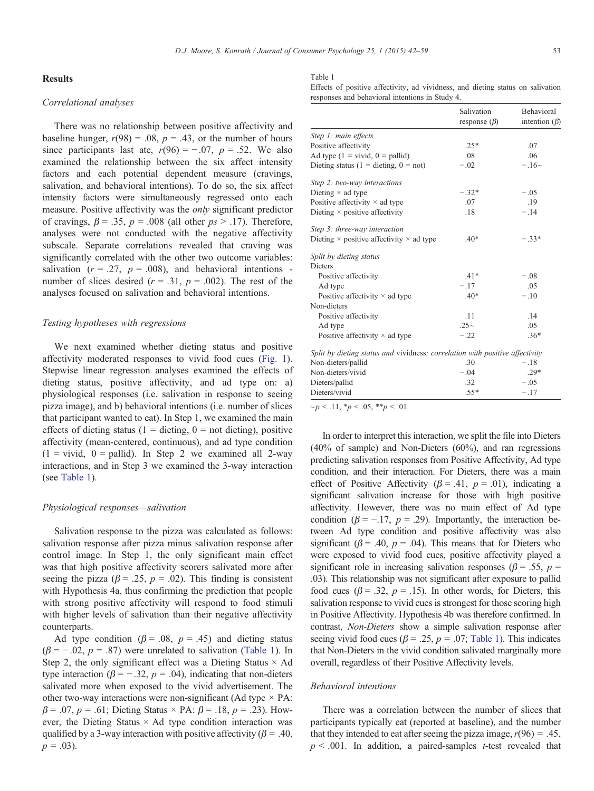#### <span id="page-11-0"></span>Correlational analyses

There was no relationship between positive affectivity and baseline hunger,  $r(98) = .08$ ,  $p = .43$ , or the number of hours since participants last ate,  $r(96) = -.07$ ,  $p = .52$ . We also examined the relationship between the six affect intensity factors and each potential dependent measure (cravings, salivation, and behavioral intentions). To do so, the six affect intensity factors were simultaneously regressed onto each measure. Positive affectivity was the only significant predictor of cravings,  $\beta = .35$ ,  $p = .008$  (all other  $ps > .17$ ). Therefore, analyses were not conducted with the negative affectivity subscale. Separate correlations revealed that craving was significantly correlated with the other two outcome variables: salivation ( $r = .27$ ,  $p = .008$ ), and behavioral intentions number of slices desired ( $r = .31$ ,  $p = .002$ ). The rest of the analyses focused on salivation and behavioral intentions.

# Testing hypotheses with regressions

We next examined whether dieting status and positive affectivity moderated responses to vivid food cues ([Fig. 1\)](#page-1-0). Stepwise linear regression analyses examined the effects of dieting status, positive affectivity, and ad type on: a) physiological responses (i.e. salivation in response to seeing pizza image), and b) behavioral intentions (i.e. number of slices that participant wanted to eat). In Step 1, we examined the main effects of dieting status (1 = dieting, 0 = not dieting), positive affectivity (mean-centered, continuous), and ad type condition  $(1 = \text{vivid}, 0 = \text{pallid})$ . In Step 2 we examined all 2-way interactions, and in Step 3 we examined the 3-way interaction (see Table 1).

#### Physiological responses—salivation

Salivation response to the pizza was calculated as follows: salivation response after pizza minus salivation response after control image. In Step 1, the only significant main effect was that high positive affectivity scorers salivated more after seeing the pizza ( $\beta$  = .25,  $p$  = .02). This finding is consistent with Hypothesis 4a, thus confirming the prediction that people with strong positive affectivity will respond to food stimuli with higher levels of salivation than their negative affectivity counterparts.

Ad type condition ( $\beta$  = .08,  $p$  = .45) and dieting status  $(\beta = -.02, p = .87)$  were unrelated to salivation (Table 1). In Step 2, the only significant effect was a Dieting Status  $\times$  Ad type interaction ( $\beta = -.32$ ,  $p = .04$ ), indicating that non-dieters salivated more when exposed to the vivid advertisement. The other two-way interactions were non-significant (Ad type  $\times$  PA:  $β = .07, p = .61$ ; Dieting Status × PA:  $β = .18, p = .23$ ). However, the Dieting Status  $\times$  Ad type condition interaction was qualified by a 3-way interaction with positive affectivity ( $\beta$  = .40,  $p = .03$ ).

#### Table 1

Effects of positive affectivity, ad vividness, and dieting status on salivation responses and behavioral intentions in Study 4.

|                                                                              | Salivation<br>response $(\beta)$ | Behavioral<br>intention $(\beta)$ |
|------------------------------------------------------------------------------|----------------------------------|-----------------------------------|
| Step 1: main effects                                                         |                                  |                                   |
| Positive affectivity                                                         | $.25*$                           | .07                               |
| Ad type $(1 = \text{vivid}, 0 = \text{pallid})$                              | .08                              | .06                               |
| Dieting status (1 = dieting, $0 = not$ )                                     | $-.02$                           | $-.16-$                           |
| Step 2: two-way interactions                                                 |                                  |                                   |
| Dieting $\times$ ad type                                                     | $-.32*$                          | $-.05$                            |
| Positive affectivity $\times$ ad type                                        | .07                              | .19                               |
| Dieting $\times$ positive affectivity                                        | .18                              | $-.14$                            |
| Step 3: three-way interaction                                                |                                  |                                   |
| Dieting $\times$ positive affectivity $\times$ ad type                       | $.40*$                           | $-.33*$                           |
| Split by dieting status                                                      |                                  |                                   |
| <b>Dieters</b>                                                               |                                  |                                   |
| Positive affectivity                                                         | $.41*$                           | $-.08$                            |
| Ad type                                                                      | $-.17$                           | .05                               |
| Positive affectivity $\times$ ad type                                        | $.40*$                           | $-.10$                            |
| Non-dieters                                                                  |                                  |                                   |
| Positive affectivity                                                         | .11                              | .14                               |
| Ad type                                                                      | $.25\sim$                        | .05                               |
| Positive affectivity $\times$ ad type                                        | $-.22$                           | $.36*$                            |
| Split by dieting status and vividness: correlation with positive affectivity |                                  |                                   |
| Non-dieters/pallid                                                           | .30                              | $-.18$                            |
| Non-dieters/vivid                                                            | $-.04$                           | $.29*$                            |
| Dieters/pallid                                                               | .32                              | $-.05$                            |
| Dieters/vivid                                                                | $.55*$                           | $-.17$                            |

 $-p < .11, *p < .05, **p < .01.$ 

In order to interpret this interaction, we split the file into Dieters (40% of sample) and Non-Dieters (60%), and ran regressions predicting salivation responses from Positive Affectivity, Ad type condition, and their interaction. For Dieters, there was a main effect of Positive Affectivity ( $\beta$  = .41,  $p$  = .01), indicating a significant salivation increase for those with high positive affectivity. However, there was no main effect of Ad type condition ( $\beta$  = -.17,  $p$  = .29). Importantly, the interaction between Ad type condition and positive affectivity was also significant ( $\beta$  = .40,  $p$  = .04). This means that for Dieters who were exposed to vivid food cues, positive affectivity played a significant role in increasing salivation responses ( $\beta$  = .55, p = .03). This relationship was not significant after exposure to pallid food cues ( $\beta$  = .32,  $p$  = .15). In other words, for Dieters, this salivation response to vivid cues is strongest for those scoring high in Positive Affectivity. Hypothesis 4b was therefore confirmed. In contrast, Non-Dieters show a simple salivation response after seeing vivid food cues ( $\beta$  = .25,  $p$  = .07; Table 1). This indicates that Non-Dieters in the vivid condition salivated marginally more overall, regardless of their Positive Affectivity levels.

## Behavioral intentions

There was a correlation between the number of slices that participants typically eat (reported at baseline), and the number that they intended to eat after seeing the pizza image,  $r(96) = .45$ ,  $p < .001$ . In addition, a paired-samples t-test revealed that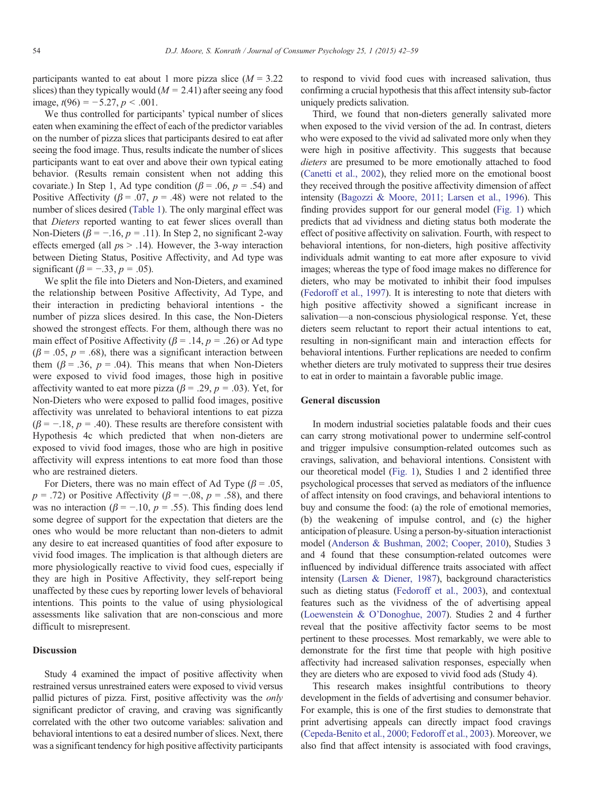participants wanted to eat about 1 more pizza slice  $(M = 3.22)$ slices) than they typically would  $(M = 2.41)$  after seeing any food image,  $t(96) = -5.27$ ,  $p < .001$ .

We thus controlled for participants' typical number of slices eaten when examining the effect of each of the predictor variables on the number of pizza slices that participants desired to eat after seeing the food image. Thus, results indicate the number of slices participants want to eat over and above their own typical eating behavior. (Results remain consistent when not adding this covariate.) In Step 1, Ad type condition ( $\beta$  = .06,  $p$  = .54) and Positive Affectivity ( $\beta$  = .07,  $p$  = .48) were not related to the number of slices desired ([Table 1](#page-11-0)). The only marginal effect was that *Dieters* reported wanting to eat fewer slices overall than Non-Dieters ( $\beta$  = -.16,  $p$  = .11). In Step 2, no significant 2-way effects emerged (all  $ps > .14$ ). However, the 3-way interaction between Dieting Status, Positive Affectivity, and Ad type was significant ( $\beta = -.33, p = .05$ ).

We split the file into Dieters and Non-Dieters, and examined the relationship between Positive Affectivity, Ad Type, and their interaction in predicting behavioral intentions - the number of pizza slices desired. In this case, the Non-Dieters showed the strongest effects. For them, although there was no main effect of Positive Affectivity ( $\beta$  = .14,  $p$  = .26) or Ad type  $(\beta = .05, p = .68)$ , there was a significant interaction between them ( $\beta$  = .36,  $p$  = .04). This means that when Non-Dieters were exposed to vivid food images, those high in positive affectivity wanted to eat more pizza ( $\beta$  = .29,  $p$  = .03). Yet, for Non-Dieters who were exposed to pallid food images, positive affectivity was unrelated to behavioral intentions to eat pizza  $(\beta = -.18, p = .40)$ . These results are therefore consistent with Hypothesis 4c which predicted that when non-dieters are exposed to vivid food images, those who are high in positive affectivity will express intentions to eat more food than those who are restrained dieters.

For Dieters, there was no main effect of Ad Type ( $\beta$  = .05,  $p = .72$ ) or Positive Affectivity ( $\beta = -.08$ ,  $p = .58$ ), and there was no interaction ( $\beta$  = -.10,  $p$  = .55). This finding does lend some degree of support for the expectation that dieters are the ones who would be more reluctant than non-dieters to admit any desire to eat increased quantities of food after exposure to vivid food images. The implication is that although dieters are more physiologically reactive to vivid food cues, especially if they are high in Positive Affectivity, they self-report being unaffected by these cues by reporting lower levels of behavioral intentions. This points to the value of using physiological assessments like salivation that are non-conscious and more difficult to misrepresent.

## Discussion

Study 4 examined the impact of positive affectivity when restrained versus unrestrained eaters were exposed to vivid versus pallid pictures of pizza. First, positive affectivity was the only significant predictor of craving, and craving was significantly correlated with the other two outcome variables: salivation and behavioral intentions to eat a desired number of slices. Next, there was a significant tendency for high positive affectivity participants

to respond to vivid food cues with increased salivation, thus confirming a crucial hypothesis that this affect intensity sub-factor uniquely predicts salivation.

Third, we found that non-dieters generally salivated more when exposed to the vivid version of the ad. In contrast, dieters who were exposed to the vivid ad salivated more only when they were high in positive affectivity. This suggests that because dieters are presumed to be more emotionally attached to food ([Canetti et al., 2002\)](#page-16-0), they relied more on the emotional boost they received through the positive affectivity dimension of affect intensity [\(Bagozzi & Moore, 2011; Larsen et al., 1996\)](#page-16-0). This finding provides support for our general model [\(Fig. 1](#page-1-0)) which predicts that ad vividness and dieting status both moderate the effect of positive affectivity on salivation. Fourth, with respect to behavioral intentions, for non-dieters, high positive affectivity individuals admit wanting to eat more after exposure to vivid images; whereas the type of food image makes no difference for dieters, who may be motivated to inhibit their food impulses ([Fedoroff et al., 1997\)](#page-16-0). It is interesting to note that dieters with high positive affectivity showed a significant increase in salivation—a non-conscious physiological response. Yet, these dieters seem reluctant to report their actual intentions to eat, resulting in non-significant main and interaction effects for behavioral intentions. Further replications are needed to confirm whether dieters are truly motivated to suppress their true desires to eat in order to maintain a favorable public image.

### General discussion

In modern industrial societies palatable foods and their cues can carry strong motivational power to undermine self-control and trigger impulsive consumption-related outcomes such as cravings, salivation, and behavioral intentions. Consistent with our theoretical model [\(Fig. 1](#page-1-0)), Studies 1 and 2 identified three psychological processes that served as mediators of the influence of affect intensity on food cravings, and behavioral intentions to buy and consume the food: (a) the role of emotional memories, (b) the weakening of impulse control, and (c) the higher anticipation of pleasure. Using a person-by-situation interactionist model ([Anderson & Bushman, 2002; Cooper, 2010\)](#page-16-0), Studies 3 and 4 found that these consumption-related outcomes were influenced by individual difference traits associated with affect intensity [\(Larsen & Diener, 1987\)](#page-17-0), background characteristics such as dieting status ([Fedoroff et al., 2003\)](#page-16-0), and contextual features such as the vividness of the of advertising appeal ([Loewenstein & O'Donoghue, 2007](#page-17-0)). Studies 2 and 4 further reveal that the positive affectivity factor seems to be most pertinent to these processes. Most remarkably, we were able to demonstrate for the first time that people with high positive affectivity had increased salivation responses, especially when they are dieters who are exposed to vivid food ads (Study 4).

This research makes insightful contributions to theory development in the fields of advertising and consumer behavior. For example, this is one of the first studies to demonstrate that print advertising appeals can directly impact food cravings ([Cepeda-Benito et al., 2000; Fedoroff et al., 2003\)](#page-16-0). Moreover, we also find that affect intensity is associated with food cravings,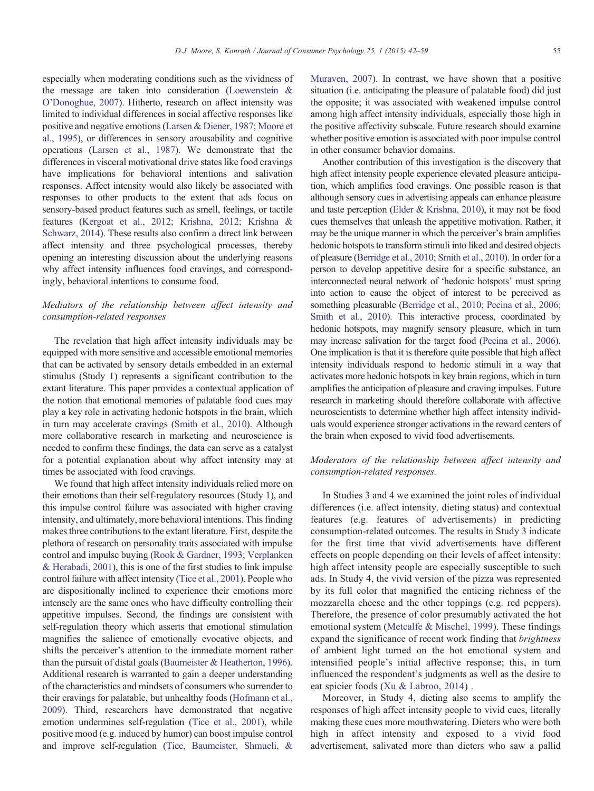especially when moderating conditions such as the vividness of the message are taken into consideration ([Loewenstein &](#page-17-0) [O'Donoghue, 2007](#page-17-0)). Hitherto, research on affect intensity was limited to individual differences in social affective responses like positive and negative emotions [\(Larsen & Diener, 1987; Moore et](#page-17-0) [al., 1995\)](#page-17-0), or differences in sensory arousability and cognitive operations [\(Larsen et al., 1987\)](#page-17-0). We demonstrate that the differences in visceral motivational drive states like food cravings have implications for behavioral intentions and salivation responses. Affect intensity would also likely be associated with responses to other products to the extent that ads focus on sensory-based product features such as smell, feelings, or tactile features [\(Kergoat et al., 2012; Krishna, 2012; Krishna &](#page-17-0) [Schwarz, 2014](#page-17-0)). These results also confirm a direct link between affect intensity and three psychological processes, thereby opening an interesting discussion about the underlying reasons why affect intensity influences food cravings, and correspondingly, behavioral intentions to consume food.

# Mediators of the relationship between affect intensity and consumption-related responses

The revelation that high affect intensity individuals may be equipped with more sensitive and accessible emotional memories that can be activated by sensory details embedded in an external stimulus (Study 1) represents a significant contribution to the extant literature. This paper provides a contextual application of the notion that emotional memories of palatable food cues may play a key role in activating hedonic hotspots in the brain, which in turn may accelerate cravings [\(Smith et al., 2010](#page-17-0)). Although more collaborative research in marketing and neuroscience is needed to confirm these findings, the data can serve as a catalyst for a potential explanation about why affect intensity may at times be associated with food cravings.

We found that high affect intensity individuals relied more on their emotions than their self-regulatory resources (Study 1), and this impulse control failure was associated with higher craving intensity, and ultimately, more behavioral intentions. This finding makes three contributions to the extant literature. First, despite the plethora of research on personality traits associated with impulse control and impulse buying [\(Rook & Gardner, 1993; Verplanken](#page-17-0) [& Herabadi, 2001\)](#page-17-0), this is one of the first studies to link impulse control failure with affect intensity ([Tice et al., 2001\)](#page-17-0). People who are dispositionally inclined to experience their emotions more intensely are the same ones who have difficulty controlling their appetitive impulses. Second, the findings are consistent with self-regulation theory which asserts that emotional stimulation magnifies the salience of emotionally evocative objects, and shifts the perceiver's attention to the immediate moment rather than the pursuit of distal goals [\(Baumeister & Heatherton, 1996\)](#page-16-0). Additional research is warranted to gain a deeper understanding of the characteristics and mindsets of consumers who surrender to their cravings for palatable, but unhealthy foods [\(Hofmann et al.,](#page-16-0) [2009](#page-16-0)). Third, researchers have demonstrated that negative emotion undermines self-regulation ([Tice et al., 2001\)](#page-17-0), while positive mood (e.g. induced by humor) can boost impulse control and improve self-regulation ([Tice, Baumeister, Shmueli, &](#page-17-0) [Muraven, 2007](#page-17-0)). In contrast, we have shown that a positive situation (i.e. anticipating the pleasure of palatable food) did just the opposite; it was associated with weakened impulse control among high affect intensity individuals, especially those high in the positive affectivity subscale. Future research should examine whether positive emotion is associated with poor impulse control in other consumer behavior domains.

Another contribution of this investigation is the discovery that high affect intensity people experience elevated pleasure anticipation, which amplifies food cravings. One possible reason is that although sensory cues in advertising appeals can enhance pleasure and taste perception [\(Elder & Krishna, 2010](#page-16-0)), it may not be food cues themselves that unleash the appetitive motivation. Rather, it may be the unique manner in which the perceiver's brain amplifies hedonic hotspots to transform stimuli into liked and desired objects of pleasure [\(Berridge et al., 2010; Smith et al., 2010\)](#page-16-0). In order for a person to develop appetitive desire for a specific substance, an interconnected neural network of 'hedonic hotspots' must spring into action to cause the object of interest to be perceived as something pleasurable [\(Berridge et al., 2010; Pecina et al., 2006;](#page-16-0) [Smith et al., 2010](#page-16-0)). This interactive process, coordinated by hedonic hotspots, may magnify sensory pleasure, which in turn may increase salivation for the target food [\(Pecina et al., 2006](#page-17-0)). One implication is that it is therefore quite possible that high affect intensity individuals respond to hedonic stimuli in a way that activates more hedonic hotspots in key brain regions, which in turn amplifies the anticipation of pleasure and craving impulses. Future research in marketing should therefore collaborate with affective neuroscientists to determine whether high affect intensity individuals would experience stronger activations in the reward centers of the brain when exposed to vivid food advertisements.

# Moderators of the relationship between affect intensity and consumption-related responses.

In Studies 3 and 4 we examined the joint roles of individual differences (i.e. affect intensity, dieting status) and contextual features (e.g. features of advertisements) in predicting consumption-related outcomes. The results in Study 3 indicate for the first time that vivid advertisements have different effects on people depending on their levels of affect intensity: high affect intensity people are especially susceptible to such ads. In Study 4, the vivid version of the pizza was represented by its full color that magnified the enticing richness of the mozzarella cheese and the other toppings (e.g. red peppers). Therefore, the presence of color presumably activated the hot emotional system [\(Metcalfe & Mischel, 1999\)](#page-17-0). These findings expand the significance of recent work finding that brightness of ambient light turned on the hot emotional system and intensified people's initial affective response; this, in turn influenced the respondent's judgments as well as the desire to eat spicier foods ([Xu & Labroo, 2014\)](#page-17-0) .

Moreover, in Study 4, dieting also seems to amplify the responses of high affect intensity people to vivid cues, literally making these cues more mouthwatering. Dieters who were both high in affect intensity and exposed to a vivid food advertisement, salivated more than dieters who saw a pallid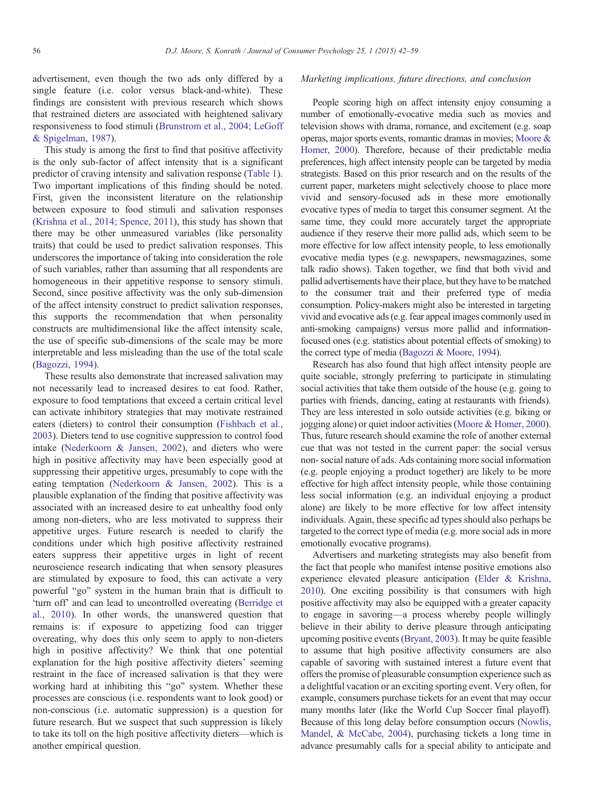advertisement, even though the two ads only differed by a single feature (i.e. color versus black-and-white). These findings are consistent with previous research which shows that restrained dieters are associated with heightened salivary responsiveness to food stimuli ([Brunstrom et al., 2004; LeGoff](#page-16-0) [& Spigelman, 1987](#page-16-0)).

This study is among the first to find that positive affectivity is the only sub-factor of affect intensity that is a significant predictor of craving intensity and salivation response [\(Table 1](#page-11-0)). Two important implications of this finding should be noted. First, given the inconsistent literature on the relationship between exposure to food stimuli and salivation responses ([Krishna et al., 2014; Spence, 2011](#page-17-0)), this study has shown that there may be other unmeasured variables (like personality traits) that could be used to predict salivation responses. This underscores the importance of taking into consideration the role of such variables, rather than assuming that all respondents are homogeneous in their appetitive response to sensory stimuli. Second, since positive affectivity was the only sub-dimension of the affect intensity construct to predict salivation responses, this supports the recommendation that when personality constructs are multidimensional like the affect intensity scale, the use of specific sub-dimensions of the scale may be more interpretable and less misleading than the use of the total scale ([Bagozzi, 1994\)](#page-16-0).

These results also demonstrate that increased salivation may not necessarily lead to increased desires to eat food. Rather, exposure to food temptations that exceed a certain critical level can activate inhibitory strategies that may motivate restrained eaters (dieters) to control their consumption ([Fishbach et al.,](#page-16-0) [2003\)](#page-16-0). Dieters tend to use cognitive suppression to control food intake ([Nederkoorn & Jansen, 2002\)](#page-17-0), and dieters who were high in positive affectivity may have been especially good at suppressing their appetitive urges, presumably to cope with the eating temptation [\(Nederkoorn & Jansen, 2002](#page-17-0)). This is a plausible explanation of the finding that positive affectivity was associated with an increased desire to eat unhealthy food only among non-dieters, who are less motivated to suppress their appetitive urges. Future research is needed to clarify the conditions under which high positive affectivity restrained eaters suppress their appetitive urges in light of recent neuroscience research indicating that when sensory pleasures are stimulated by exposure to food, this can activate a very powerful "go" system in the human brain that is difficult to 'turn off' and can lead to uncontrolled overeating ([Berridge et](#page-16-0) [al., 2010](#page-16-0)). In other words, the unanswered question that remains is: if exposure to appetizing food can trigger overeating, why does this only seem to apply to non-dieters high in positive affectivity? We think that one potential explanation for the high positive affectivity dieters' seeming restraint in the face of increased salivation is that they were working hard at inhibiting this "go" system. Whether these processes are conscious (i.e. respondents want to look good) or non-conscious (i.e. automatic suppression) is a question for future research. But we suspect that such suppression is likely to take its toll on the high positive affectivity dieters—which is another empirical question.

# Marketing implications, future directions, and conclusion

People scoring high on affect intensity enjoy consuming a number of emotionally-evocative media such as movies and television shows with drama, romance, and excitement (e.g. soap operas, major sports events, romantic dramas in movies; [Moore &](#page-17-0) [Homer, 2000](#page-17-0)). Therefore, because of their predictable media preferences, high affect intensity people can be targeted by media strategists. Based on this prior research and on the results of the current paper, marketers might selectively choose to place more vivid and sensory-focused ads in these more emotionally evocative types of media to target this consumer segment. At the same time, they could more accurately target the appropriate audience if they reserve their more pallid ads, which seem to be more effective for low affect intensity people, to less emotionally evocative media types (e.g. newspapers, newsmagazines, some talk radio shows). Taken together, we find that both vivid and pallid advertisements have their place, but they have to be matched to the consumer trait and their preferred type of media consumption. Policy-makers might also be interested in targeting vivid and evocative ads (e.g. fear appeal images commonly used in anti-smoking campaigns) versus more pallid and informationfocused ones (e.g. statistics about potential effects of smoking) to the correct type of media ([Bagozzi & Moore, 1994\)](#page-16-0).

Research has also found that high affect intensity people are quite sociable, strongly preferring to participate in stimulating social activities that take them outside of the house (e.g. going to parties with friends, dancing, eating at restaurants with friends). They are less interested in solo outside activities (e.g. biking or jogging alone) or quiet indoor activities [\(Moore & Homer, 2000](#page-17-0)). Thus, future research should examine the role of another external cue that was not tested in the current paper: the social versus non- social nature of ads. Ads containing more social information (e.g. people enjoying a product together) are likely to be more effective for high affect intensity people, while those containing less social information (e.g. an individual enjoying a product alone) are likely to be more effective for low affect intensity individuals. Again, these specific ad types should also perhaps be targeted to the correct type of media (e.g. more social ads in more emotionally evocative programs).

Advertisers and marketing strategists may also benefit from the fact that people who manifest intense positive emotions also experience elevated pleasure anticipation ([Elder & Krishna,](#page-16-0) [2010](#page-16-0)). One exciting possibility is that consumers with high positive affectivity may also be equipped with a greater capacity to engage in savoring—a process whereby people willingly believe in their ability to derive pleasure through anticipating upcoming positive events [\(Bryant, 2003\)](#page-16-0). It may be quite feasible to assume that high positive affectivity consumers are also capable of savoring with sustained interest a future event that offers the promise of pleasurable consumption experience such as a delightful vacation or an exciting sporting event. Very often, for example, consumers purchase tickets for an event that may occur many months later (like the World Cup Soccer final playoff). Because of this long delay before consumption occurs [\(Nowlis,](#page-17-0) [Mandel, & McCabe, 2004\)](#page-17-0), purchasing tickets a long time in advance presumably calls for a special ability to anticipate and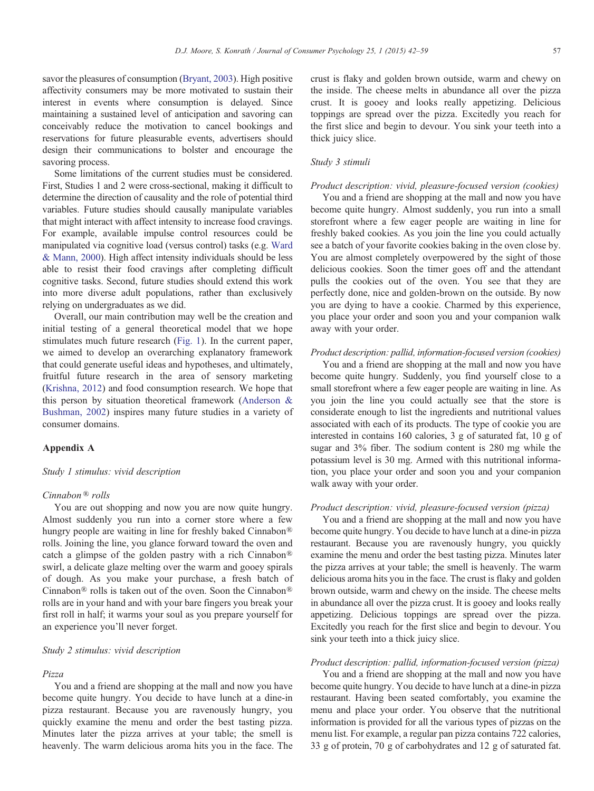<span id="page-15-0"></span>savor the pleasures of consumption [\(Bryant, 2003\)](#page-16-0). High positive affectivity consumers may be more motivated to sustain their interest in events where consumption is delayed. Since maintaining a sustained level of anticipation and savoring can conceivably reduce the motivation to cancel bookings and reservations for future pleasurable events, advertisers should design their communications to bolster and encourage the savoring process.

Some limitations of the current studies must be considered. First, Studies 1 and 2 were cross-sectional, making it difficult to determine the direction of causality and the role of potential third variables. Future studies should causally manipulate variables that might interact with affect intensity to increase food cravings. For example, available impulse control resources could be manipulated via cognitive load (versus control) tasks (e.g. [Ward](#page-17-0) [& Mann, 2000\)](#page-17-0). High affect intensity individuals should be less able to resist their food cravings after completing difficult cognitive tasks. Second, future studies should extend this work into more diverse adult populations, rather than exclusively relying on undergraduates as we did.

Overall, our main contribution may well be the creation and initial testing of a general theoretical model that we hope stimulates much future research ([Fig. 1\)](#page-1-0). In the current paper, we aimed to develop an overarching explanatory framework that could generate useful ideas and hypotheses, and ultimately, fruitful future research in the area of sensory marketing ([Krishna, 2012\)](#page-17-0) and food consumption research. We hope that this person by situation theoretical framework ([Anderson &](#page-16-0) [Bushman, 2002\)](#page-16-0) inspires many future studies in a variety of consumer domains.

# Appendix A

## Study 1 stimulus: vivid description

# Cinnabon® rolls

You are out shopping and now you are now quite hungry. Almost suddenly you run into a corner store where a few hungry people are waiting in line for freshly baked Cinnabon<sup>®</sup> rolls. Joining the line, you glance forward toward the oven and catch a glimpse of the golden pastry with a rich Cinnabon® swirl, a delicate glaze melting over the warm and gooey spirals of dough. As you make your purchase, a fresh batch of Cinnabon® rolls is taken out of the oven. Soon the Cinnabon® rolls are in your hand and with your bare fingers you break your first roll in half; it warms your soul as you prepare yourself for an experience you'll never forget.

# Study 2 stimulus: vivid description

#### Pizza

You and a friend are shopping at the mall and now you have become quite hungry. You decide to have lunch at a dine-in pizza restaurant. Because you are ravenously hungry, you quickly examine the menu and order the best tasting pizza. Minutes later the pizza arrives at your table; the smell is heavenly. The warm delicious aroma hits you in the face. The

crust is flaky and golden brown outside, warm and chewy on the inside. The cheese melts in abundance all over the pizza crust. It is gooey and looks really appetizing. Delicious toppings are spread over the pizza. Excitedly you reach for the first slice and begin to devour. You sink your teeth into a thick juicy slice.

# Study 3 stimuli

## Product description: vivid, pleasure-focused version (cookies)

You and a friend are shopping at the mall and now you have become quite hungry. Almost suddenly, you run into a small storefront where a few eager people are waiting in line for freshly baked cookies. As you join the line you could actually see a batch of your favorite cookies baking in the oven close by. You are almost completely overpowered by the sight of those delicious cookies. Soon the timer goes off and the attendant pulls the cookies out of the oven. You see that they are perfectly done, nice and golden-brown on the outside. By now you are dying to have a cookie. Charmed by this experience, you place your order and soon you and your companion walk away with your order.

## Product description: pallid, information-focused version (cookies)

You and a friend are shopping at the mall and now you have become quite hungry. Suddenly, you find yourself close to a small storefront where a few eager people are waiting in line. As you join the line you could actually see that the store is considerate enough to list the ingredients and nutritional values associated with each of its products. The type of cookie you are interested in contains 160 calories, 3 g of saturated fat, 10 g of sugar and 3% fiber. The sodium content is 280 mg while the potassium level is 30 mg. Armed with this nutritional information, you place your order and soon you and your companion walk away with your order.

# Product description: vivid, pleasure-focused version (pizza)

You and a friend are shopping at the mall and now you have become quite hungry. You decide to have lunch at a dine-in pizza restaurant. Because you are ravenously hungry, you quickly examine the menu and order the best tasting pizza. Minutes later the pizza arrives at your table; the smell is heavenly. The warm delicious aroma hits you in the face. The crust is flaky and golden brown outside, warm and chewy on the inside. The cheese melts in abundance all over the pizza crust. It is gooey and looks really appetizing. Delicious toppings are spread over the pizza. Excitedly you reach for the first slice and begin to devour. You sink your teeth into a thick juicy slice.

# Product description: pallid, information-focused version (pizza)

You and a friend are shopping at the mall and now you have become quite hungry. You decide to have lunch at a dine-in pizza restaurant. Having been seated comfortably, you examine the menu and place your order. You observe that the nutritional information is provided for all the various types of pizzas on the menu list. For example, a regular pan pizza contains 722 calories, 33 g of protein, 70 g of carbohydrates and 12 g of saturated fat.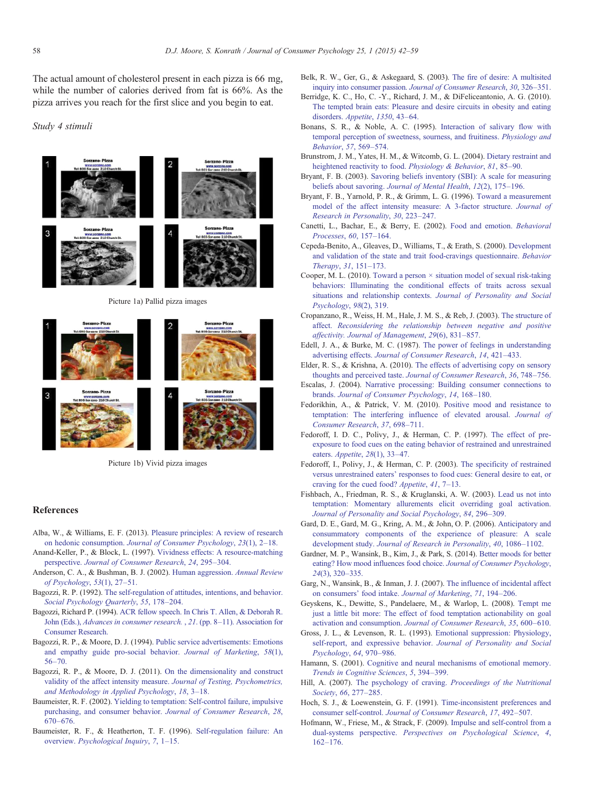<span id="page-16-0"></span>The actual amount of cholesterol present in each pizza is 66 mg, while the number of calories derived from fat is 66%. As the pizza arrives you reach for the first slice and you begin to eat.

Study 4 stimuli



Picture 1a) Pallid pizza images



Picture 1b) Vivid pizza images

#### References

- Alba, W., & Williams, E. F. (2013). [Pleasure principles: A review of research](http://refhub.elsevier.com/S1057-7408(14)00064-3/rf0005) on hedonic consumption. [Journal of Consumer Psychology](http://refhub.elsevier.com/S1057-7408(14)00064-3/rf0005), 23(1), 2–18.
- Anand-Keller, P., & Block, L. (1997). [Vividness effects: A resource-matching](http://refhub.elsevier.com/S1057-7408(14)00064-3/rf0010) perspective. [Journal of Consumer Research](http://refhub.elsevier.com/S1057-7408(14)00064-3/rf0010), 24, 295–304.
- Anderson, C. A., & Bushman, B. J. (2002). [Human aggression.](http://refhub.elsevier.com/S1057-7408(14)00064-3/rf0015) Annual Review [of Psychology](http://refhub.elsevier.com/S1057-7408(14)00064-3/rf0015), 53(1), 27–51.
- Bagozzi, R. P. (1992). [The self-regulation of attitudes, intentions, and behavior.](http://refhub.elsevier.com/S1057-7408(14)00064-3/rf0020) [Social Psychology Quarterly](http://refhub.elsevier.com/S1057-7408(14)00064-3/rf0020), 55, 178–204.
- Bagozzi, Richard P. (1994). [ACR fellow speech. In Chris T. Allen, & Deborah R.](http://refhub.elsevier.com/S1057-7408(14)00064-3/rf0360) John (Eds.), [Advances in consumer research.](http://refhub.elsevier.com/S1057-7408(14)00064-3/rf0360) , 21. (pp. 8–11). Association for [Consumer Research.](http://refhub.elsevier.com/S1057-7408(14)00064-3/rf0360)
- Bagozzi, R. P., & Moore, D. J. (1994). [Public service advertisements: Emotions](http://refhub.elsevier.com/S1057-7408(14)00064-3/rf0035) [and empathy guide pro-social behavior.](http://refhub.elsevier.com/S1057-7408(14)00064-3/rf0035) Journal of Marketing, 58(1), 56–[70.](http://refhub.elsevier.com/S1057-7408(14)00064-3/rf0035)
- Bagozzi, R. P., & Moore, D. J. (2011). [On the dimensionality and construct](http://refhub.elsevier.com/S1057-7408(14)00064-3/rf0030) [validity of the affect intensity measure.](http://refhub.elsevier.com/S1057-7408(14)00064-3/rf0030) Journal of Testing, Psychometrics, [and Methodology in Applied Psychology](http://refhub.elsevier.com/S1057-7408(14)00064-3/rf0030), 18, 3–18.
- Baumeister, R. F. (2002). [Yielding to temptation: Self-control failure, impulsive](http://refhub.elsevier.com/S1057-7408(14)00064-3/rf0040) [purchasing, and consumer behavior.](http://refhub.elsevier.com/S1057-7408(14)00064-3/rf0040) Journal of Consumer Research, 28, 670–[676.](http://refhub.elsevier.com/S1057-7408(14)00064-3/rf0040)
- Baumeister, R. F., & Heatherton, T. F. (1996). [Self-regulation failure: An](http://refhub.elsevier.com/S1057-7408(14)00064-3/rf0045) overview. [Psychological Inquiry](http://refhub.elsevier.com/S1057-7408(14)00064-3/rf0045), 7, 1–15.
- Belk, R. W., Ger, G., & Askegaard, S. (2003). [The fire of desire: A multisited](http://refhub.elsevier.com/S1057-7408(14)00064-3/rf0050) inquiry into consumer passion. [Journal of Consumer Research](http://refhub.elsevier.com/S1057-7408(14)00064-3/rf0050), 30, 326–351.
- Berridge, K. C., Ho, C. -Y., Richard, J. M., & DiFeliceantonio, A. G. (2010). [The tempted brain eats: Pleasure and desire circuits in obesity and eating](http://refhub.elsevier.com/S1057-7408(14)00064-3/rf0055) [disorders.](http://refhub.elsevier.com/S1057-7408(14)00064-3/rf0055) Appetite, 1350, 43–64.
- Bonans, S. R., & Noble, A. C. (1995). [Interaction of salivary flow with](http://refhub.elsevier.com/S1057-7408(14)00064-3/rf0060) [temporal perception of sweetness, sourness, and fruitiness.](http://refhub.elsevier.com/S1057-7408(14)00064-3/rf0060) Physiology and [Behavior](http://refhub.elsevier.com/S1057-7408(14)00064-3/rf0060), 57, 569–574.
- Brunstrom, J. M., Yates, H. M., & Witcomb, G. L. (2004). [Dietary restraint and](http://refhub.elsevier.com/S1057-7408(14)00064-3/rf0070) [heightened reactivity to food.](http://refhub.elsevier.com/S1057-7408(14)00064-3/rf0070) Physiology & Behavior, 81, 85–90.
- Bryant, F. B. (2003). [Savoring beliefs inventory \(SBI\): A scale for measuring](http://refhub.elsevier.com/S1057-7408(14)00064-3/rf0075) beliefs about savoring. [Journal of Mental Health](http://refhub.elsevier.com/S1057-7408(14)00064-3/rf0075), 12(2), 175–196.
- Bryant, F. B., Yarnold, P. R., & Grimm, L. G. (1996). [Toward a measurement](http://refhub.elsevier.com/S1057-7408(14)00064-3/rf0080) [model of the affect intensity measure: A 3-factor structure.](http://refhub.elsevier.com/S1057-7408(14)00064-3/rf0080) Journal of [Research in Personality](http://refhub.elsevier.com/S1057-7408(14)00064-3/rf0080), 30, 223–247.
- Canetti, L., Bachar, E., & Berry, E. (2002). [Food and emotion.](http://refhub.elsevier.com/S1057-7408(14)00064-3/rf0085) Behavioral [Processes](http://refhub.elsevier.com/S1057-7408(14)00064-3/rf0085), 60, 157–164.
- Cepeda-Benito, A., Gleaves, D., Williams, T., & Erath, S. (2000). [Development](http://refhub.elsevier.com/S1057-7408(14)00064-3/rf0090) [and validation of the state and trait food-cravings questionnaire.](http://refhub.elsevier.com/S1057-7408(14)00064-3/rf0090) Behavior [Therapy](http://refhub.elsevier.com/S1057-7408(14)00064-3/rf0090), 31, 151–173.
- Cooper, M. L. (2010). Toward a person  $\times$  situation model of sexual risk-taking [behaviors: Illuminating the conditional effects of traits across sexual](http://refhub.elsevier.com/S1057-7408(14)00064-3/rf0095) [situations and relationship contexts.](http://refhub.elsevier.com/S1057-7408(14)00064-3/rf0095) Journal of Personality and Social [Psychology](http://refhub.elsevier.com/S1057-7408(14)00064-3/rf0095), 98(2), 319.
- Cropanzano, R., Weiss, H. M., Hale, J. M. S., & Reb, J. (2003). [The structure of](http://refhub.elsevier.com/S1057-7408(14)00064-3/rf5000) affect. [Reconsidering the relationship between negative and positive](http://refhub.elsevier.com/S1057-7408(14)00064-3/rf5000) [affectivity. Journal of Management](http://refhub.elsevier.com/S1057-7408(14)00064-3/rf5000), 29(6), 831–857.
- Edell, J. A., & Burke, M. C. (1987). [The power of feelings in understanding](http://refhub.elsevier.com/S1057-7408(14)00064-3/rf0100) advertising effects. [Journal of Consumer Research](http://refhub.elsevier.com/S1057-7408(14)00064-3/rf0100), 14, 421–433.
- Elder, R. S., & Krishna, A. (2010). [The effects of advertising copy on sensory](http://refhub.elsevier.com/S1057-7408(14)00064-3/rf0105) thoughts and perceived taste. [Journal of Consumer Research](http://refhub.elsevier.com/S1057-7408(14)00064-3/rf0105), 36, 748–756.
- Escalas, J. (2004). [Narrative processing: Building consumer connections to](http://refhub.elsevier.com/S1057-7408(14)00064-3/rf0110) brands. [Journal of Consumer Psychology](http://refhub.elsevier.com/S1057-7408(14)00064-3/rf0110), 14, 168–180.
- Fedorikhin, A., & Patrick, V. M. (2010). [Positive mood and resistance to](http://refhub.elsevier.com/S1057-7408(14)00064-3/rf0115) [temptation: The interfering influence of elevated arousal.](http://refhub.elsevier.com/S1057-7408(14)00064-3/rf0115) Journal of [Consumer Research](http://refhub.elsevier.com/S1057-7408(14)00064-3/rf0115), 37, 698–711.
- Fedoroff, I. D. C., Polivy, J., & Herman, C. P. (1997). [The effect of pre](http://refhub.elsevier.com/S1057-7408(14)00064-3/rf5100)[exposure to food cues on the eating behavior of restrained and unrestrained](http://refhub.elsevier.com/S1057-7408(14)00064-3/rf5100) eaters. [Appetite](http://refhub.elsevier.com/S1057-7408(14)00064-3/rf5100), 28(1), 33-47.
- Fedoroff, I., Polivy, J., & Herman, C. P. (2003). [The specificity of restrained](http://refhub.elsevier.com/S1057-7408(14)00064-3/rf0120) [versus unrestrained eaters' responses to food cues: General desire to eat, or](http://refhub.elsevier.com/S1057-7408(14)00064-3/rf0120) [craving for the cued food?](http://refhub.elsevier.com/S1057-7408(14)00064-3/rf0120) Appetite, 41, 7–13.
- Fishbach, A., Friedman, R. S., & Kruglanski, A. W. (2003). [Lead us not into](http://refhub.elsevier.com/S1057-7408(14)00064-3/rf0125) [temptation: Momentary allurements elicit overriding goal activation.](http://refhub.elsevier.com/S1057-7408(14)00064-3/rf0125) [Journal of Personality and Social Psychology](http://refhub.elsevier.com/S1057-7408(14)00064-3/rf0125), 84, 296–309.
- Gard, D. E., Gard, M. G., Kring, A. M., & John, O. P. (2006). [Anticipatory and](http://refhub.elsevier.com/S1057-7408(14)00064-3/rf0130) [consummatory components of the experience of pleasure: A scale](http://refhub.elsevier.com/S1057-7408(14)00064-3/rf0130) development study. [Journal of Research in Personality](http://refhub.elsevier.com/S1057-7408(14)00064-3/rf0130), 40, 1086–1102.
- Gardner, M. P., Wansink, B., Kim, J., & Park, S. (2014). [Better moods for better](http://refhub.elsevier.com/S1057-7408(14)00064-3/rf0365) [eating? How mood influences food choice.](http://refhub.elsevier.com/S1057-7408(14)00064-3/rf0365) Journal of Consumer Psychology, 24[\(3\), 320](http://refhub.elsevier.com/S1057-7408(14)00064-3/rf0365)–335.
- Garg, N., Wansink, B., & Inman, J. J. (2007). [The influence of incidental affect](http://refhub.elsevier.com/S1057-7408(14)00064-3/rf0135) [on consumers' food intake.](http://refhub.elsevier.com/S1057-7408(14)00064-3/rf0135) Journal of Marketing, 71, 194–206.
- Geyskens, K., Dewitte, S., Pandelaere, M., & Warlop, L. (2008). [Tempt me](http://refhub.elsevier.com/S1057-7408(14)00064-3/rf0145) [just a little bit more: The effect of food temptation actionability on goal](http://refhub.elsevier.com/S1057-7408(14)00064-3/rf0145) activation and consumption. [Journal of Consumer Research](http://refhub.elsevier.com/S1057-7408(14)00064-3/rf0145), 35, 600–610.
- Gross, J. L., & Levenson, R. L. (1993). [Emotional suppression: Physiology,](http://refhub.elsevier.com/S1057-7408(14)00064-3/rf0150) [self-report, and expressive behavior.](http://refhub.elsevier.com/S1057-7408(14)00064-3/rf0150) Journal of Personality and Social [Psychology](http://refhub.elsevier.com/S1057-7408(14)00064-3/rf0150), 64, 970–986.
- Hamann, S. (2001). [Cognitive and neural mechanisms of emotional memory.](http://refhub.elsevier.com/S1057-7408(14)00064-3/rf0155) [Trends in Cognitive Sciences](http://refhub.elsevier.com/S1057-7408(14)00064-3/rf0155), 5, 394–399.
- Hill, A. (2007). The psychology of craving. [Proceedings of the Nutritional](http://refhub.elsevier.com/S1057-7408(14)00064-3/rf0370) [Society](http://refhub.elsevier.com/S1057-7408(14)00064-3/rf0370), 66, 277–285.
- Hoch, S. J., & Loewenstein, G. F. (1991). [Time-inconsistent preferences and](http://refhub.elsevier.com/S1057-7408(14)00064-3/rf5200) consumer self-control. [Journal of Consumer Research](http://refhub.elsevier.com/S1057-7408(14)00064-3/rf5200), 17, 492–507.
- Hofmann, W., Friese, M., & Strack, F. (2009). [Impulse and self-control from a](http://refhub.elsevier.com/S1057-7408(14)00064-3/rf0165) dual-systems perspective. [Perspectives on Psychological Science](http://refhub.elsevier.com/S1057-7408(14)00064-3/rf0165), 4, 162–[176.](http://refhub.elsevier.com/S1057-7408(14)00064-3/rf0165)